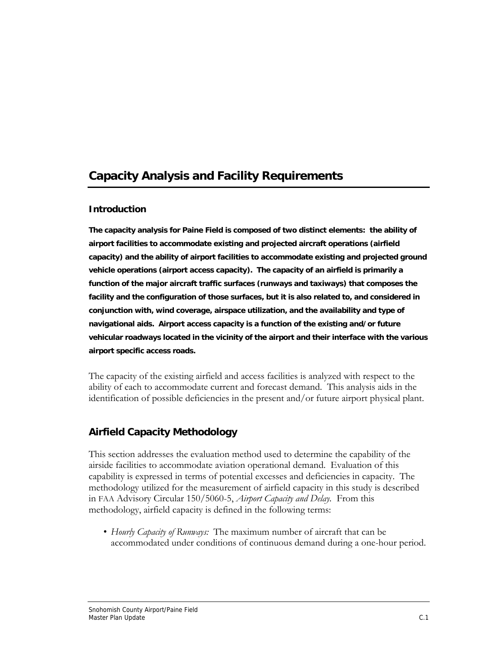# **Capacity Analysis and Facility Requirements**

## **Introduction**

**The capacity analysis for Paine Field is composed of two distinct elements: the ability of airport facilities to accommodate existing and projected aircraft operations (airfield capacity) and the ability of airport facilities to accommodate existing and projected ground vehicle operations (airport access capacity). The capacity of an airfield is primarily a function of the major aircraft traffic surfaces (runways and taxiways) that composes the facility and the configuration of those surfaces, but it is also related to, and considered in conjunction with, wind coverage, airspace utilization, and the availability and type of navigational aids. Airport access capacity is a function of the existing and/or future vehicular roadways located in the vicinity of the airport and their interface with the various airport specific access roads.** 

The capacity of the existing airfield and access facilities is analyzed with respect to the ability of each to accommodate current and forecast demand. This analysis aids in the identification of possible deficiencies in the present and/or future airport physical plant.

## **Airfield Capacity Methodology**

This section addresses the evaluation method used to determine the capability of the airside facilities to accommodate aviation operational demand. Evaluation of this capability is expressed in terms of potential excesses and deficiencies in capacity. The methodology utilized for the measurement of airfield capacity in this study is described in FAA Advisory Circular 150/5060-5, *Airport Capacity and Delay.*From this methodology, airfield capacity is defined in the following terms:

• *Hourly Capacity of Runways:* The maximum number of aircraft that can be accommodated under conditions of continuous demand during a one-hour period.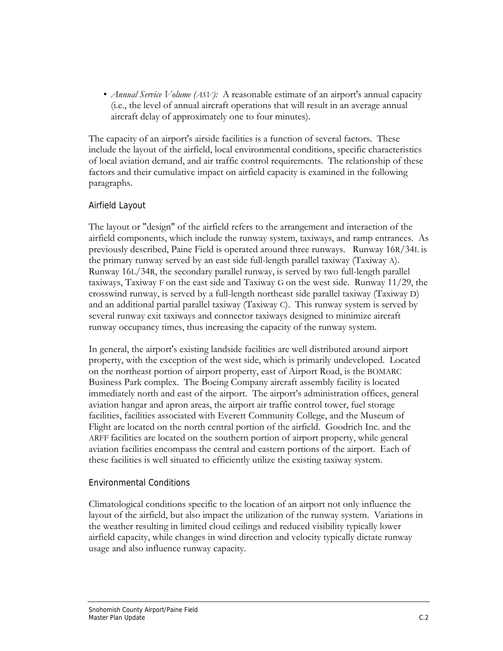• *Annual Service Volume (ASV)*: A reasonable estimate of an airport's annual capacity (i.e., the level of annual aircraft operations that will result in an average annual aircraft delay of approximately one to four minutes).

The capacity of an airport's airside facilities is a function of several factors. These include the layout of the airfield, local environmental conditions, specific characteristics of local aviation demand, and air traffic control requirements. The relationship of these factors and their cumulative impact on airfield capacity is examined in the following paragraphs.

## Airfield Layout

The layout or "design" of the airfield refers to the arrangement and interaction of the airfield components, which include the runway system, taxiways, and ramp entrances. As previously described, Paine Field is operated around three runways. Runway 16R/34L is the primary runway served by an east side full-length parallel taxiway (Taxiway A). Runway 16L/34R, the secondary parallel runway, is served by two full-length parallel taxiways, Taxiway F on the east side and Taxiway G on the west side. Runway 11/29, the crosswind runway, is served by a full-length northeast side parallel taxiway (Taxiway D) and an additional partial parallel taxiway (Taxiway C). This runway system is served by several runway exit taxiways and connector taxiways designed to minimize aircraft runway occupancy times, thus increasing the capacity of the runway system.

In general, the airport's existing landside facilities are well distributed around airport property, with the exception of the west side, which is primarily undeveloped. Located on the northeast portion of airport property, east of Airport Road, is the BOMARC Business Park complex. The Boeing Company aircraft assembly facility is located immediately north and east of the airport. The airport's administration offices, general aviation hangar and apron areas, the airport air traffic control tower, fuel storage facilities, facilities associated with Everett Community College, and the Museum of Flight are located on the north central portion of the airfield. Goodrich Inc. and the ARFF facilities are located on the southern portion of airport property, while general aviation facilities encompass the central and eastern portions of the airport. Each of these facilities is well situated to efficiently utilize the existing taxiway system.

## Environmental Conditions

Climatological conditions specific to the location of an airport not only influence the layout of the airfield, but also impact the utilization of the runway system. Variations in the weather resulting in limited cloud ceilings and reduced visibility typically lower airfield capacity, while changes in wind direction and velocity typically dictate runway usage and also influence runway capacity.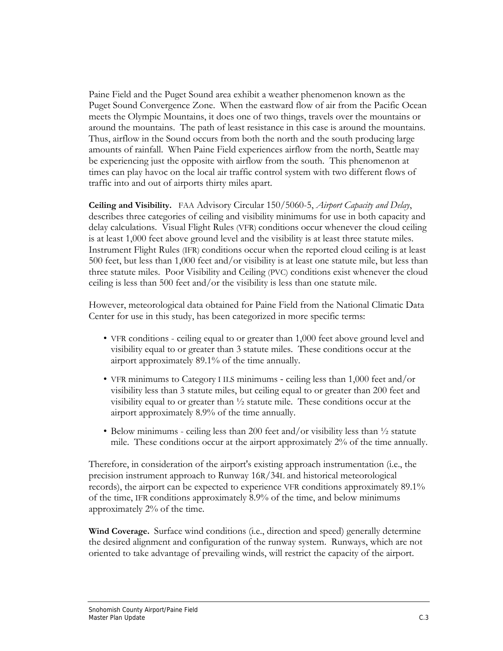Paine Field and the Puget Sound area exhibit a weather phenomenon known as the Puget Sound Convergence Zone. When the eastward flow of air from the Pacific Ocean meets the Olympic Mountains, it does one of two things, travels over the mountains or around the mountains. The path of least resistance in this case is around the mountains. Thus, airflow in the Sound occurs from both the north and the south producing large amounts of rainfall. When Paine Field experiences airflow from the north, Seattle may be experiencing just the opposite with airflow from the south. This phenomenon at times can play havoc on the local air traffic control system with two different flows of traffic into and out of airports thirty miles apart.

**Ceiling and Visibility.** FAA Advisory Circular 150/5060-5, *Airport Capacity and Delay*, describes three categories of ceiling and visibility minimums for use in both capacity and delay calculations. Visual Flight Rules (VFR) conditions occur whenever the cloud ceiling is at least 1,000 feet above ground level and the visibility is at least three statute miles. Instrument Flight Rules (IFR) conditions occur when the reported cloud ceiling is at least 500 feet, but less than 1,000 feet and/or visibility is at least one statute mile, but less than three statute miles. Poor Visibility and Ceiling (PVC) conditions exist whenever the cloud ceiling is less than 500 feet and/or the visibility is less than one statute mile.

However, meteorological data obtained for Paine Field from the National Climatic Data Center for use in this study, has been categorized in more specific terms:

- VFR conditions ceiling equal to or greater than 1,000 feet above ground level and visibility equal to or greater than 3 statute miles. These conditions occur at the airport approximately 89.1% of the time annually.
- VFR minimums to Category I ILS minimums ceiling less than 1,000 feet and/or visibility less than 3 statute miles, but ceiling equal to or greater than 200 feet and visibility equal to or greater than ½ statute mile. These conditions occur at the airport approximately 8.9% of the time annually.
- Below minimums ceiling less than 200 feet and/or visibility less than  $\frac{1}{2}$  statute mile. These conditions occur at the airport approximately 2% of the time annually.

Therefore, in consideration of the airport's existing approach instrumentation (i.e., the precision instrument approach to Runway 16R/34L and historical meteorological records), the airport can be expected to experience VFR conditions approximately 89.1% of the time, IFR conditions approximately 8.9% of the time, and below minimums approximately 2% of the time.

**Wind Coverage.** Surface wind conditions (i.e., direction and speed) generally determine the desired alignment and configuration of the runway system. Runways, which are not oriented to take advantage of prevailing winds, will restrict the capacity of the airport.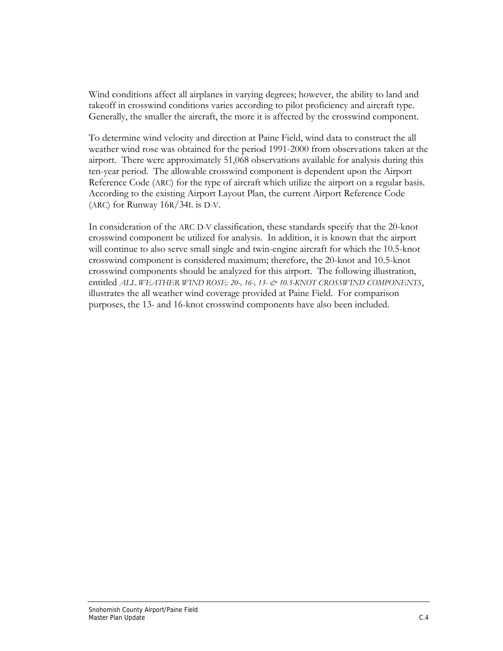Wind conditions affect all airplanes in varying degrees; however, the ability to land and takeoff in crosswind conditions varies according to pilot proficiency and aircraft type. Generally, the smaller the aircraft, the more it is affected by the crosswind component.

To determine wind velocity and direction at Paine Field, wind data to construct the all weather wind rose was obtained for the period 1991-2000 from observations taken at the airport. There were approximately 51,068 observations available for analysis during this ten-year period. The allowable crosswind component is dependent upon the Airport Reference Code (ARC) for the type of aircraft which utilize the airport on a regular basis. According to the existing Airport Layout Plan, the current Airport Reference Code (ARC) for Runway 16R/34L is D-V.

In consideration of the ARC D-V classification, these standards specify that the 20-knot crosswind component be utilized for analysis. In addition, it is known that the airport will continue to also serve small single and twin-engine aircraft for which the 10.5-knot crosswind component is considered maximum; therefore, the 20-knot and 10.5-knot crosswind components should be analyzed for this airport. The following illustration, entitled *ALL WEATHER WIND ROSE: 20-, 16-, 13- & 10.5-KNOT CROSSWIND COMPONENTS*, illustrates the all weather wind coverage provided at Paine Field. For comparison purposes, the 13- and 16-knot crosswind components have also been included.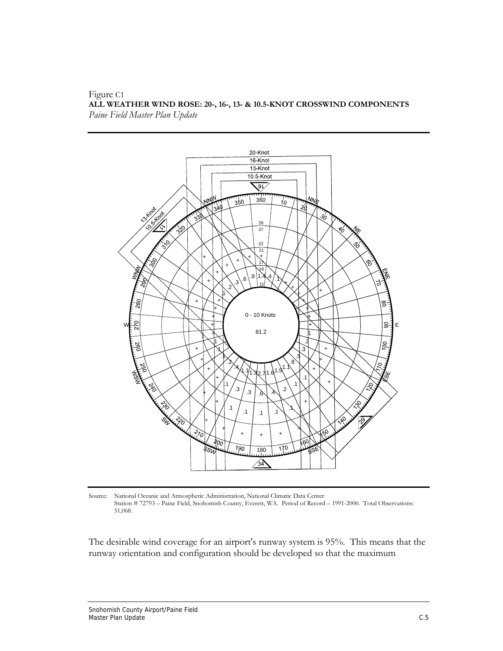#### Figure C1 **ALL WEATHER WIND ROSE: 20-, 16-, 13- & 10.5-KNOT CROSSWIND COMPONENTS**  *Paine Field Master Plan Update*



Source: National Oceanic and Atmospheric Administration, National Climatic Data Center Station # 72793 – Paine Field, Snohomish County, Everett, WA. Period of Record – 1991-2000. Total Observations: 51,068.

The desirable wind coverage for an airport's runway system is 95%. This means that the runway orientation and configuration should be developed so that the maximum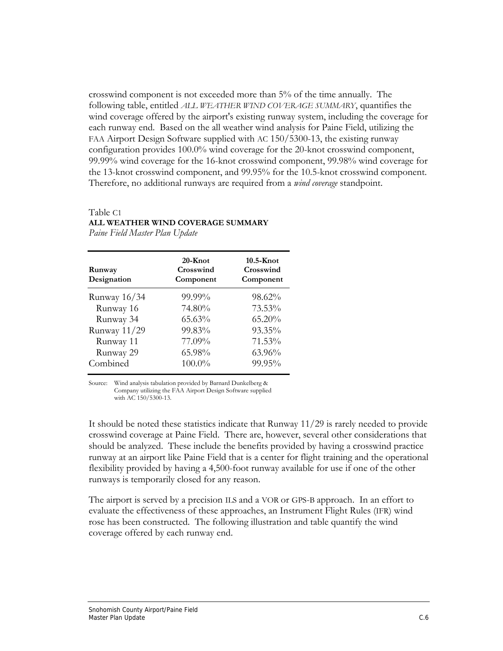crosswind component is not exceeded more than 5% of the time annually. The following table, entitled *ALL WEATHER WIND COVERAGE SUMMARY*, quantifies the wind coverage offered by the airport's existing runway system, including the coverage for each runway end. Based on the all weather wind analysis for Paine Field, utilizing the FAA Airport Design Software supplied with AC 150/5300-13, the existing runway configuration provides 100.0% wind coverage for the 20-knot crosswind component, 99.99% wind coverage for the 16-knot crosswind component, 99.98% wind coverage for the 13-knot crosswind component, and 99.95% for the 10.5-knot crosswind component. Therefore, no additional runways are required from a *wind coverage* standpoint.

## Table C1 **ALL WEATHER WIND COVERAGE SUMMARY**

*Paine Field Master Plan Update* 

| Runway<br>Designation | $20 -$ Knot<br>Crosswind<br>Component | $10.5 -$ Knot<br>Crosswind<br>Component |
|-----------------------|---------------------------------------|-----------------------------------------|
| Runway 16/34          | 99.99%                                | 98.62%                                  |
| Runway 16             | 74.80%                                | 73.53%                                  |
| Runway 34             | 65.63%                                | 65.20%                                  |
| Runway 11/29          | 99.83%                                | 93.35%                                  |
| Runway 11             | 77.09%                                | 71.53%                                  |
| Runway 29             | 65.98%                                | 63.96%                                  |
| Combined              | 100.0%                                | 99.95%                                  |

Source: Wind analysis tabulation provided by Barnard Dunkelberg & Company utilizing the FAA Airport Design Software supplied with AC 150/5300-13.

It should be noted these statistics indicate that Runway 11/29 is rarely needed to provide crosswind coverage at Paine Field. There are, however, several other considerations that should be analyzed. These include the benefits provided by having a crosswind practice runway at an airport like Paine Field that is a center for flight training and the operational flexibility provided by having a 4,500-foot runway available for use if one of the other runways is temporarily closed for any reason.

The airport is served by a precision ILS and a VOR or GPS-B approach. In an effort to evaluate the effectiveness of these approaches, an Instrument Flight Rules (IFR) wind rose has been constructed. The following illustration and table quantify the wind coverage offered by each runway end.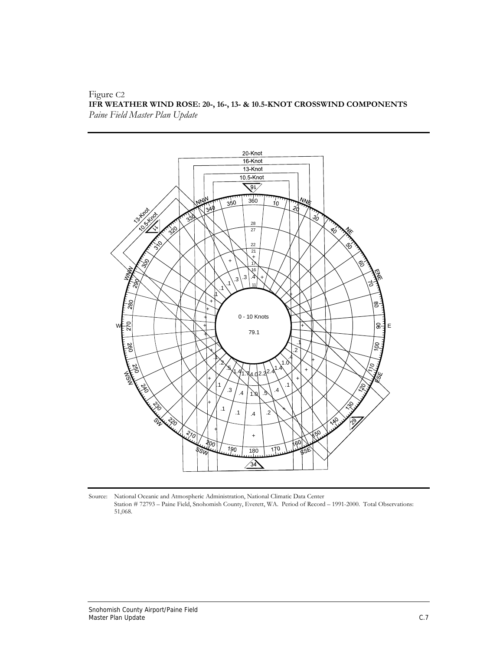#### Figure C2 **IFR WEATHER WIND ROSE: 20-, 16-, 13- & 10.5-KNOT CROSSWIND COMPONENTS**  *Paine Field Master Plan Update*



Source: National Oceanic and Atmospheric Administration, National Climatic Data Center Station # 72793 – Paine Field, Snohomish County, Everett, WA. Period of Record – 1991-2000. Total Observations: 51,068.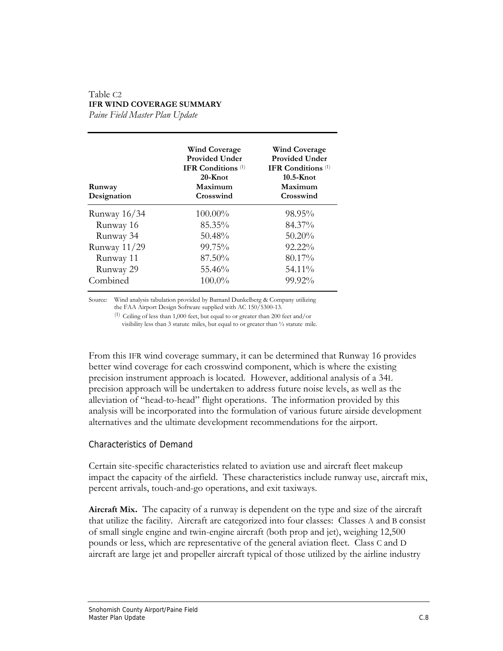## Table C2 **IFR WIND COVERAGE SUMMARY**

*Paine Field Master Plan Update* 

| Runway<br>Designation | <b>Wind Coverage</b><br><b>Provided Under</b><br><b>IFR Conditions</b> <sup>(1)</sup><br>20-Knot<br>Maximum<br>Crosswind | <b>Wind Coverage</b><br><b>Provided Under</b><br><b>IFR</b> Conditions $(1)$<br>$10.5 -$ Knot<br>Maximum<br>Crosswind |
|-----------------------|--------------------------------------------------------------------------------------------------------------------------|-----------------------------------------------------------------------------------------------------------------------|
| Runway 16/34          | 100.00%                                                                                                                  | 98.95%                                                                                                                |
| Runway 16             | 85.35%                                                                                                                   | 84.37%                                                                                                                |
| Runway 34             | $50.48\%$                                                                                                                | $50.20\%$                                                                                                             |
| Runway 11/29          | 99.75%                                                                                                                   | 92.22%                                                                                                                |
| Runway 11             | 87.50%                                                                                                                   | 80.17%                                                                                                                |
| Runway 29             | 55.46%                                                                                                                   | 54.11%                                                                                                                |
| Combined              | $100.0\%$                                                                                                                | 99.92%                                                                                                                |

Source: Wind analysis tabulation provided by Barnard Dunkelberg & Company utilizing the FAA Airport Design Software supplied with AC 150/5300-13.

(1) Ceiling of less than 1,000 feet, but equal to or greater than 200 feet and/or visibility less than 3 statute miles, but equal to or greater than ½ statute mile.

From this IFR wind coverage summary, it can be determined that Runway 16 provides better wind coverage for each crosswind component, which is where the existing precision instrument approach is located. However, additional analysis of a 34L precision approach will be undertaken to address future noise levels, as well as the alleviation of "head-to-head" flight operations. The information provided by this analysis will be incorporated into the formulation of various future airside development alternatives and the ultimate development recommendations for the airport.

## Characteristics of Demand

Certain site-specific characteristics related to aviation use and aircraft fleet makeup impact the capacity of the airfield. These characteristics include runway use, aircraft mix, percent arrivals, touch-and-go operations, and exit taxiways.

**Aircraft Mix.** The capacity of a runway is dependent on the type and size of the aircraft that utilize the facility. Aircraft are categorized into four classes: Classes A and B consist of small single engine and twin-engine aircraft (both prop and jet), weighing 12,500 pounds or less, which are representative of the general aviation fleet. Class C and D aircraft are large jet and propeller aircraft typical of those utilized by the airline industry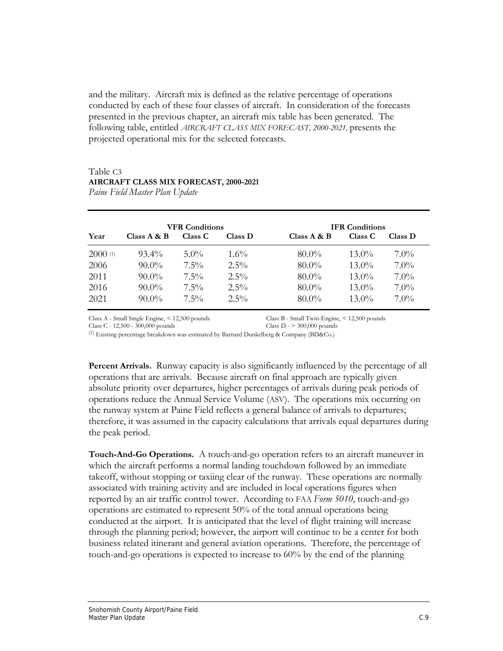and the military. Aircraft mix is defined as the relative percentage of operations conducted by each of these four classes of aircraft. In consideration of the forecasts presented in the previous chapter, an aircraft mix table has been generated. The following table, entitled *AIRCRAFT CLASS MIX FORECAST, 2000-2021,* presents the projected operational mix for the selected forecasts.

#### Table C3 **AIRCRAFT CLASS MIX FORECAST, 2000-2021** *Paine Field Master Plan Update*

|         |               | <b>VFR Conditions</b> |         |                | <b>IFR Conditions</b> |         |
|---------|---------------|-----------------------|---------|----------------|-----------------------|---------|
| Year    | Class $A & B$ | Class C               | Class D | Class $A \& B$ | Class C               | Class D |
| 2000(1) | $93.4\%$      | $5.0\%$               | $1.6\%$ | $80.0\%$       | $13.0\%$              | $7.0\%$ |
| 2006    | $90.0\%$      | $7.5\%$               | $2.5\%$ | $80.0\%$       | $13.0\%$              | $7.0\%$ |
| 2011    | $90.0\%$      | $7.5\%$               | $2.5\%$ | $80.0\%$       | $13.0\%$              | $7.0\%$ |
| 2016    | $90.0\%$      | $7.5\%$               | $2.5\%$ | $80.0\%$       | $13.0\%$              | $7.0\%$ |
| 2021    | $90.0\%$      | $7.5\%$               | $2.5\%$ | $80.0\%$       | $13.0\%$              | $7.0\%$ |

Class A - Small Single Engine, < 12,500 pounds Class B - Small Twin-Engine, < 12,500 pounds

Class C - 12,500 - 300,000 pounds

(1) Existing percentage breakdown was estimated by Barnard Dunkelberg & Company (BD&Co.)

**Percent Arrivals.** Runway capacity is also significantly influenced by the percentage of all operations that are arrivals. Because aircraft on final approach are typically given absolute priority over departures, higher percentages of arrivals during peak periods of operations reduce the Annual Service Volume (ASV). The operations mix occurring on the runway system at Paine Field reflects a general balance of arrivals to departures; therefore, it was assumed in the capacity calculations that arrivals equal departures during the peak period.

**Touch-And-Go Operations.**A touch-and-go operation refers to an aircraft maneuver in which the aircraft performs a normal landing touchdown followed by an immediate takeoff, without stopping or taxiing clear of the runway. These operations are normally associated with training activity and are included in local operations figures when reported by an air traffic control tower. According to FAA *Form 5010*, touch-and-go operations are estimated to represent 50% of the total annual operations being conducted at the airport. It is anticipated that the level of flight training will increase through the planning period; however, the airport will continue to be a center for both business related itinerant and general aviation operations. Therefore, the percentage of touch-and-go operations is expected to increase to 60% by the end of the planning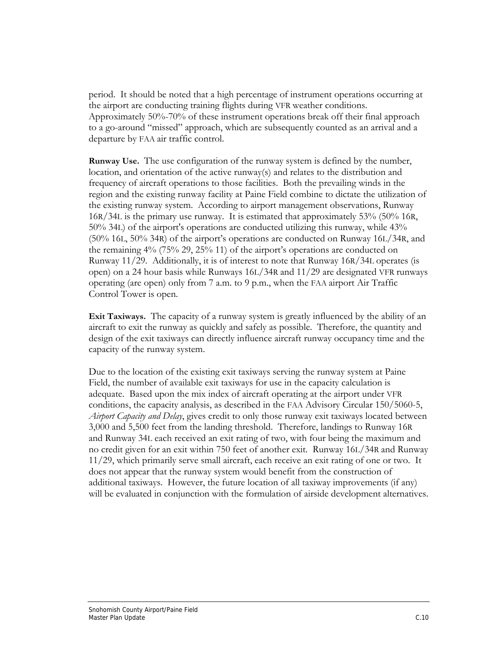period. It should be noted that a high percentage of instrument operations occurring at the airport are conducting training flights during VFR weather conditions. Approximately 50%-70% of these instrument operations break off their final approach to a go-around "missed" approach, which are subsequently counted as an arrival and a departure by FAA air traffic control.

**Runway Use.** The use configuration of the runway system is defined by the number, location, and orientation of the active runway(s) and relates to the distribution and frequency of aircraft operations to those facilities. Both the prevailing winds in the region and the existing runway facility at Paine Field combine to dictate the utilization of the existing runway system. According to airport management observations, Runway 16R/34L is the primary use runway. It is estimated that approximately 53% (50% 16R, 50% 34L) of the airport's operations are conducted utilizing this runway, while 43% (50% 16L, 50% 34R) of the airport's operations are conducted on Runway 16L/34R, and the remaining 4% (75% 29, 25% 11) of the airport's operations are conducted on Runway 11/29. Additionally, it is of interest to note that Runway 16R/34L operates (is open) on a 24 hour basis while Runways 16L/34R and 11/29 are designated VFR runways operating (are open) only from 7 a.m. to 9 p.m., when the FAA airport Air Traffic Control Tower is open.

**Exit Taxiways.** The capacity of a runway system is greatly influenced by the ability of an aircraft to exit the runway as quickly and safely as possible. Therefore, the quantity and design of the exit taxiways can directly influence aircraft runway occupancy time and the capacity of the runway system.

Due to the location of the existing exit taxiways serving the runway system at Paine Field, the number of available exit taxiways for use in the capacity calculation is adequate. Based upon the mix index of aircraft operating at the airport under VFR conditions, the capacity analysis, as described in the FAA Advisory Circular 150/5060-5, *Airport Capacity and Delay*, gives credit to only those runway exit taxiways located between 3,000 and 5,500 feet from the landing threshold. Therefore, landings to Runway 16R and Runway 34L each received an exit rating of two, with four being the maximum and no credit given for an exit within 750 feet of another exit. Runway 16L/34R and Runway 11/29, which primarily serve small aircraft, each receive an exit rating of one or two. It does not appear that the runway system would benefit from the construction of additional taxiways. However, the future location of all taxiway improvements (if any) will be evaluated in conjunction with the formulation of airside development alternatives.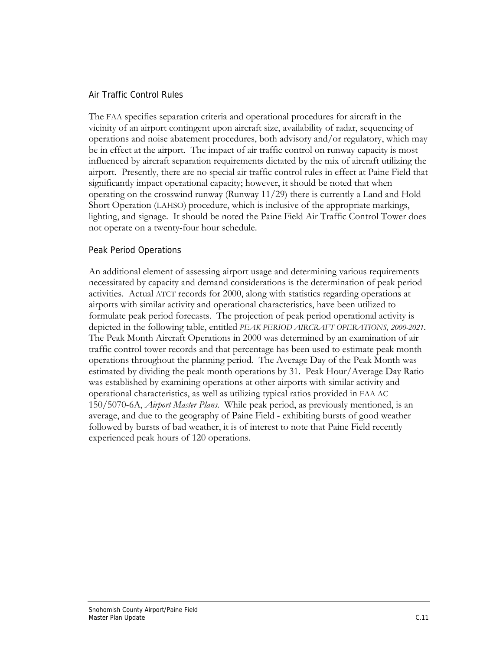### Air Traffic Control Rules

The FAA specifies separation criteria and operational procedures for aircraft in the vicinity of an airport contingent upon aircraft size, availability of radar, sequencing of operations and noise abatement procedures, both advisory and/or regulatory, which may be in effect at the airport. The impact of air traffic control on runway capacity is most influenced by aircraft separation requirements dictated by the mix of aircraft utilizing the airport. Presently, there are no special air traffic control rules in effect at Paine Field that significantly impact operational capacity; however, it should be noted that when operating on the crosswind runway (Runway 11/29) there is currently a Land and Hold Short Operation (LAHSO) procedure, which is inclusive of the appropriate markings, lighting, and signage. It should be noted the Paine Field Air Traffic Control Tower does not operate on a twenty-four hour schedule.

## Peak Period Operations

An additional element of assessing airport usage and determining various requirements necessitated by capacity and demand considerations is the determination of peak period activities. Actual ATCT records for 2000, along with statistics regarding operations at airports with similar activity and operational characteristics, have been utilized to formulate peak period forecasts. The projection of peak period operational activity is depicted in the following table, entitled *PEAK PERIOD AIRCRAFT OPERATIONS, 2000-2021*. The Peak Month Aircraft Operations in 2000 was determined by an examination of air traffic control tower records and that percentage has been used to estimate peak month operations throughout the planning period. The Average Day of the Peak Month was estimated by dividing the peak month operations by 31. Peak Hour/Average Day Ratio was established by examining operations at other airports with similar activity and operational characteristics, as well as utilizing typical ratios provided in FAA AC 150/5070-6A, *Airport Master Plans*. While peak period, as previously mentioned, is an average, and due to the geography of Paine Field - exhibiting bursts of good weather followed by bursts of bad weather, it is of interest to note that Paine Field recently experienced peak hours of 120 operations.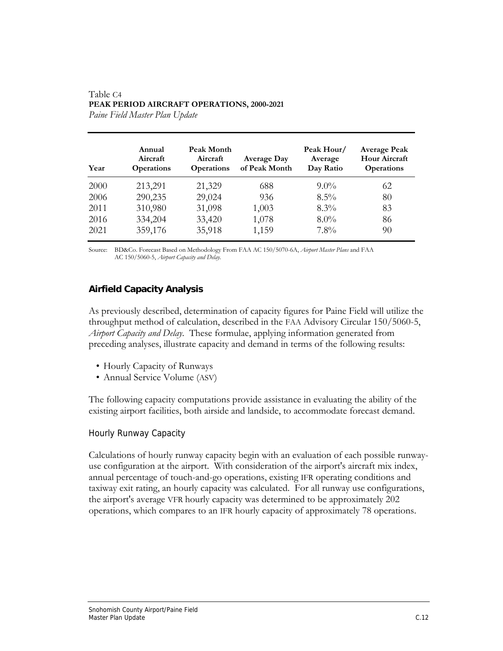| Year | Annual<br>Aircraft<br><b>Operations</b> | Peak Month<br>Aircraft<br><b>Operations</b> | <b>Average Day</b><br>of Peak Month | Peak Hour/<br>Average<br>Day Ratio | <b>Average Peak</b><br><b>Hour Aircraft</b><br><b>Operations</b> |
|------|-----------------------------------------|---------------------------------------------|-------------------------------------|------------------------------------|------------------------------------------------------------------|
| 2000 | 213,291                                 | 21,329                                      | 688                                 | $9.0\%$                            | 62                                                               |
| 2006 | 290,235                                 | 29,024                                      | 936                                 | $8.5\%$                            | 80                                                               |
| 2011 | 310,980                                 | 31,098                                      | 1,003                               | $8.3\%$                            | 83                                                               |
| 2016 | 334,204                                 | 33,420                                      | 1,078                               | $8.0\%$                            | 86                                                               |
| 2021 | 359,176                                 | 35,918                                      | 1,159                               | $7.8\%$                            | 90                                                               |

#### Table C4 **PEAK PERIOD AIRCRAFT OPERATIONS, 2000-2021**  *Paine Field Master Plan Update*

Source: BD&Co. Forecast Based on Methodology From FAA AC 150/5070-6A, *Airport Master Plans* and FAA AC 150/5060-5, *Airport Capacity and Delay*.

## **Airfield Capacity Analysis**

As previously described, determination of capacity figures for Paine Field will utilize the throughput method of calculation, described in the FAA Advisory Circular 150/5060-5, *Airport Capacity and Delay*. These formulae, applying information generated from preceding analyses, illustrate capacity and demand in terms of the following results:

- Hourly Capacity of Runways
- Annual Service Volume (ASV)

The following capacity computations provide assistance in evaluating the ability of the existing airport facilities, both airside and landside, to accommodate forecast demand.

### Hourly Runway Capacity

Calculations of hourly runway capacity begin with an evaluation of each possible runwayuse configuration at the airport. With consideration of the airport's aircraft mix index, annual percentage of touch-and-go operations, existing IFR operating conditions and taxiway exit rating, an hourly capacity was calculated. For all runway use configurations, the airport's average VFR hourly capacity was determined to be approximately 202 operations, which compares to an IFR hourly capacity of approximately 78 operations.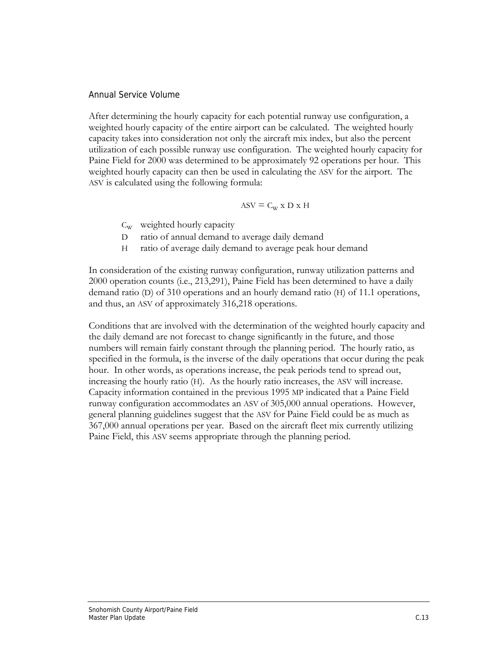### Annual Service Volume

After determining the hourly capacity for each potential runway use configuration, a weighted hourly capacity of the entire airport can be calculated. The weighted hourly capacity takes into consideration not only the aircraft mix index, but also the percent utilization of each possible runway use configuration. The weighted hourly capacity for Paine Field for 2000 was determined to be approximately 92 operations per hour. This weighted hourly capacity can then be used in calculating the ASV for the airport. The ASV is calculated using the following formula:

$$
ASV \equiv C_W \ge D \ge H
$$

- $C_w$  weighted hourly capacity
- D ratio of annual demand to average daily demand
- H ratio of average daily demand to average peak hour demand

In consideration of the existing runway configuration, runway utilization patterns and 2000 operation counts (i.e., 213,291), Paine Field has been determined to have a daily demand ratio (D) of 310 operations and an hourly demand ratio (H) of 11.1 operations, and thus, an ASV of approximately 316,218 operations.

Conditions that are involved with the determination of the weighted hourly capacity and the daily demand are not forecast to change significantly in the future, and those numbers will remain fairly constant through the planning period. The hourly ratio, as specified in the formula, is the inverse of the daily operations that occur during the peak hour. In other words, as operations increase, the peak periods tend to spread out, increasing the hourly ratio (H). As the hourly ratio increases, the ASV will increase. Capacity information contained in the previous 1995 MP indicated that a Paine Field runway configuration accommodates an ASV of 305,000 annual operations. However, general planning guidelines suggest that the ASV for Paine Field could be as much as 367,000 annual operations per year. Based on the aircraft fleet mix currently utilizing Paine Field, this ASV seems appropriate through the planning period.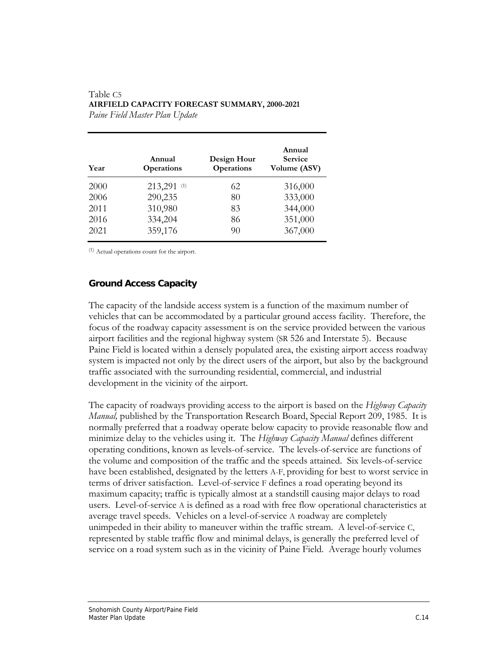| Year | Annual<br><b>Operations</b> | Design Hour<br>Operations | Annual<br><b>Service</b><br>Volume (ASV) |
|------|-----------------------------|---------------------------|------------------------------------------|
| 2000 | 213,291 (1)                 | 62                        | 316,000                                  |
| 2006 | 290,235                     | 80                        | 333,000                                  |
| 2011 | 310,980                     | 83                        | 344,000                                  |
| 2016 | 334,204                     | 86                        | 351,000                                  |
| 2021 | 359,176                     | 90                        | 367,000                                  |

#### Table C5 **AIRFIELD CAPACITY FORECAST SUMMARY, 2000-2021**  *Paine Field Master Plan Update*

(1) Actual operations count for the airport.

## **Ground Access Capacity**

The capacity of the landside access system is a function of the maximum number of vehicles that can be accommodated by a particular ground access facility. Therefore, the focus of the roadway capacity assessment is on the service provided between the various airport facilities and the regional highway system (SR 526 and Interstate 5). Because Paine Field is located within a densely populated area, the existing airport access roadway system is impacted not only by the direct users of the airport, but also by the background traffic associated with the surrounding residential, commercial, and industrial development in the vicinity of the airport.

The capacity of roadways providing access to the airport is based on the *Highway Capacity Manual,* published by the Transportation Research Board, Special Report 209, 1985. It is normally preferred that a roadway operate below capacity to provide reasonable flow and minimize delay to the vehicles using it. The *Highway Capacity Manual* defines different operating conditions, known as levels-of-service. The levels-of-service are functions of the volume and composition of the traffic and the speeds attained. Six levels-of-service have been established, designated by the letters A-F, providing for best to worst service in terms of driver satisfaction. Level-of-service F defines a road operating beyond its maximum capacity; traffic is typically almost at a standstill causing major delays to road users. Level-of-service A is defined as a road with free flow operational characteristics at average travel speeds. Vehicles on a level-of-service A roadway are completely unimpeded in their ability to maneuver within the traffic stream. A level-of-service C, represented by stable traffic flow and minimal delays, is generally the preferred level of service on a road system such as in the vicinity of Paine Field. Average hourly volumes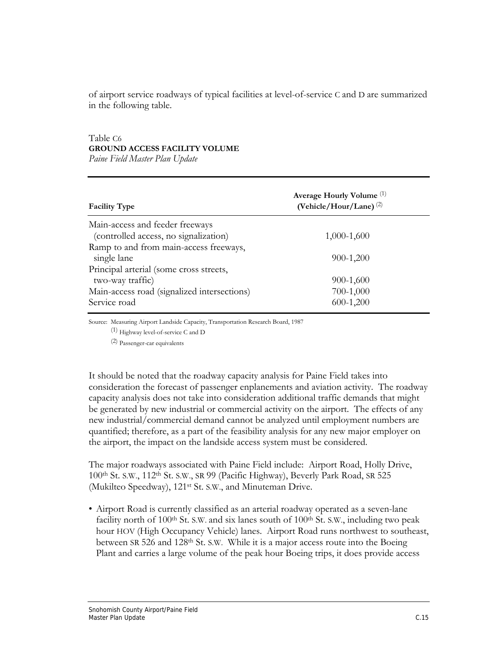of airport service roadways of typical facilities at level-of-service C and D are summarized in the following table.

## Table C6 **GROUND ACCESS FACILITY VOLUME**

*Paine Field Master Plan Update* 

| <b>Facility Type</b>                        | Average Hourly Volume <sup>(1)</sup><br>(Vehicle/Hour/Lane) $(2)$ |  |
|---------------------------------------------|-------------------------------------------------------------------|--|
| Main-access and feeder freeways             |                                                                   |  |
| (controlled access, no signalization)       | $1,000-1,600$                                                     |  |
| Ramp to and from main-access freeways,      |                                                                   |  |
| single lane                                 | 900-1,200                                                         |  |
| Principal arterial (some cross streets,     |                                                                   |  |
| two-way traffic)                            | 900-1,600                                                         |  |
| Main-access road (signalized intersections) | 700-1,000                                                         |  |
| Service road                                | $600-1,200$                                                       |  |

Source: Measuring Airport Landside Capacity, Transportation Research Board, 1987

(1) Highway level-of-service C and D

(2) Passenger-car equivalents

It should be noted that the roadway capacity analysis for Paine Field takes into consideration the forecast of passenger enplanements and aviation activity. The roadway capacity analysis does not take into consideration additional traffic demands that might be generated by new industrial or commercial activity on the airport. The effects of any new industrial/commercial demand cannot be analyzed until employment numbers are quantified; therefore, as a part of the feasibility analysis for any new major employer on the airport, the impact on the landside access system must be considered.

The major roadways associated with Paine Field include: Airport Road, Holly Drive, 100th St. S.W., 112th St. S.W., SR 99 (Pacific Highway), Beverly Park Road, SR 525 (Mukilteo Speedway), 121st St. S.W., and Minuteman Drive.

• Airport Road is currently classified as an arterial roadway operated as a seven-lane facility north of 100<sup>th</sup> St. S.W. and six lanes south of 100<sup>th</sup> St. S.W., including two peak hour HOV (High Occupancy Vehicle) lanes. Airport Road runs northwest to southeast, between SR 526 and 128<sup>th</sup> St. S.W. While it is a major access route into the Boeing Plant and carries a large volume of the peak hour Boeing trips, it does provide access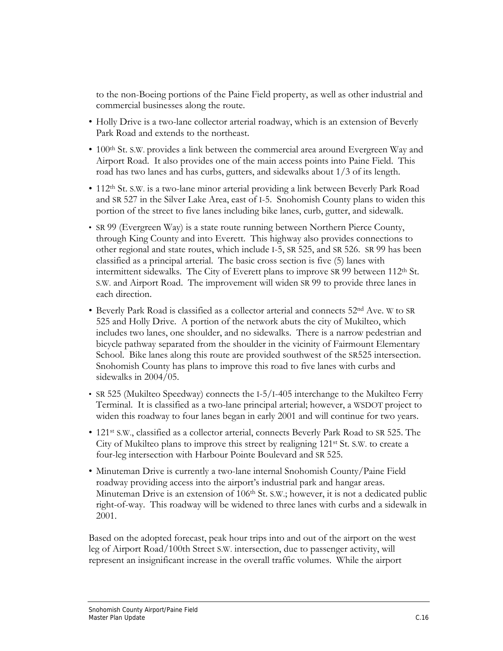to the non-Boeing portions of the Paine Field property, as well as other industrial and commercial businesses along the route.

- Holly Drive is a two-lane collector arterial roadway, which is an extension of Beverly Park Road and extends to the northeast.
- 100<sup>th</sup> St. S.W. provides a link between the commercial area around Evergreen Way and Airport Road. It also provides one of the main access points into Paine Field. This road has two lanes and has curbs, gutters, and sidewalks about 1/3 of its length.
- 112<sup>th</sup> St. S.W. is a two-lane minor arterial providing a link between Beverly Park Road and SR 527 in the Silver Lake Area, east of I-5. Snohomish County plans to widen this portion of the street to five lanes including bike lanes, curb, gutter, and sidewalk.
- SR 99 (Evergreen Way) is a state route running between Northern Pierce County, through King County and into Everett. This highway also provides connections to other regional and state routes, which include I-5, SR 525, and SR 526. SR 99 has been classified as a principal arterial. The basic cross section is five (5) lanes with intermittent sidewalks. The City of Everett plans to improve SR 99 between 112<sup>th</sup> St. S.W. and Airport Road. The improvement will widen SR 99 to provide three lanes in each direction.
- Beverly Park Road is classified as a collector arterial and connects 52nd Ave. W to SR 525 and Holly Drive. A portion of the network abuts the city of Mukilteo, which includes two lanes, one shoulder, and no sidewalks. There is a narrow pedestrian and bicycle pathway separated from the shoulder in the vicinity of Fairmount Elementary School. Bike lanes along this route are provided southwest of the SR525 intersection. Snohomish County has plans to improve this road to five lanes with curbs and sidewalks in 2004/05.
- SR 525 (Mukilteo Speedway) connects the I-5/I-405 interchange to the Mukilteo Ferry Terminal. It is classified as a two-lane principal arterial; however, a WSDOT project to widen this roadway to four lanes began in early 2001 and will continue for two years.
- 121<sup>st</sup> S.W., classified as a collector arterial, connects Beverly Park Road to SR 525. The City of Mukilteo plans to improve this street by realigning  $121<sup>st</sup>$  St. S.W. to create a four-leg intersection with Harbour Pointe Boulevard and SR 525.
- Minuteman Drive is currently a two-lane internal Snohomish County/Paine Field roadway providing access into the airport's industrial park and hangar areas. Minuteman Drive is an extension of 106<sup>th</sup> St. S.W.; however, it is not a dedicated public right-of-way. This roadway will be widened to three lanes with curbs and a sidewalk in 2001.

Based on the adopted forecast, peak hour trips into and out of the airport on the west leg of Airport Road/100th Street S.W. intersection, due to passenger activity, will represent an insignificant increase in the overall traffic volumes. While the airport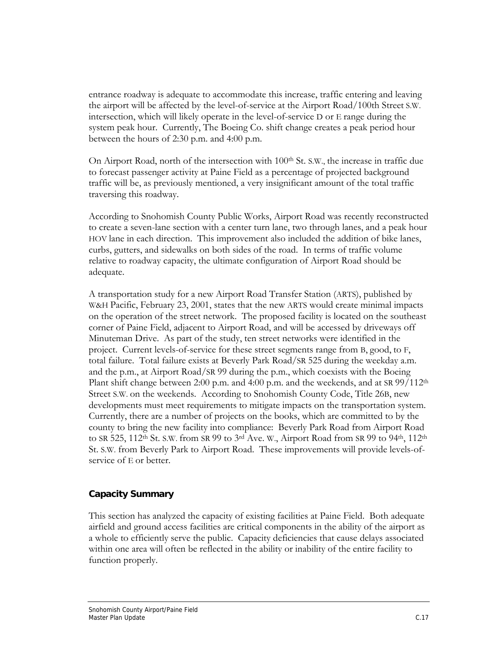entrance roadway is adequate to accommodate this increase, traffic entering and leaving the airport will be affected by the level-of-service at the Airport Road/100th Street S.W. intersection, which will likely operate in the level-of-service D or E range during the system peak hour. Currently, The Boeing Co. shift change creates a peak period hour between the hours of 2:30 p.m. and 4:00 p.m.

On Airport Road, north of the intersection with  $100<sup>th</sup>$  St. S.W., the increase in traffic due to forecast passenger activity at Paine Field as a percentage of projected background traffic will be, as previously mentioned, a very insignificant amount of the total traffic traversing this roadway.

According to Snohomish County Public Works, Airport Road was recently reconstructed to create a seven-lane section with a center turn lane, two through lanes, and a peak hour HOV lane in each direction. This improvement also included the addition of bike lanes, curbs, gutters, and sidewalks on both sides of the road. In terms of traffic volume relative to roadway capacity, the ultimate configuration of Airport Road should be adequate.

A transportation study for a new Airport Road Transfer Station (ARTS), published by W&H Pacific, February 23, 2001, states that the new ARTS would create minimal impacts on the operation of the street network. The proposed facility is located on the southeast corner of Paine Field, adjacent to Airport Road, and will be accessed by driveways off Minuteman Drive. As part of the study, ten street networks were identified in the project. Current levels-of-service for these street segments range from B, good, to F, total failure. Total failure exists at Beverly Park Road/SR 525 during the weekday a.m. and the p.m., at Airport Road/SR 99 during the p.m., which coexists with the Boeing Plant shift change between 2:00 p.m. and 4:00 p.m. and the weekends, and at SR  $99/112<sup>th</sup>$ Street S.W. on the weekends. According to Snohomish County Code, Title 26B, new developments must meet requirements to mitigate impacts on the transportation system. Currently, there are a number of projects on the books, which are committed to by the county to bring the new facility into compliance: Beverly Park Road from Airport Road to SR 525, 112<sup>th</sup> St. S.W. from SR 99 to 3<sup>rd</sup> Ave. W., Airport Road from SR 99 to 94<sup>th</sup>, 112<sup>th</sup> St. S.W. from Beverly Park to Airport Road. These improvements will provide levels-ofservice of E or better.

## **Capacity Summary**

This section has analyzed the capacity of existing facilities at Paine Field. Both adequate airfield and ground access facilities are critical components in the ability of the airport as a whole to efficiently serve the public. Capacity deficiencies that cause delays associated within one area will often be reflected in the ability or inability of the entire facility to function properly.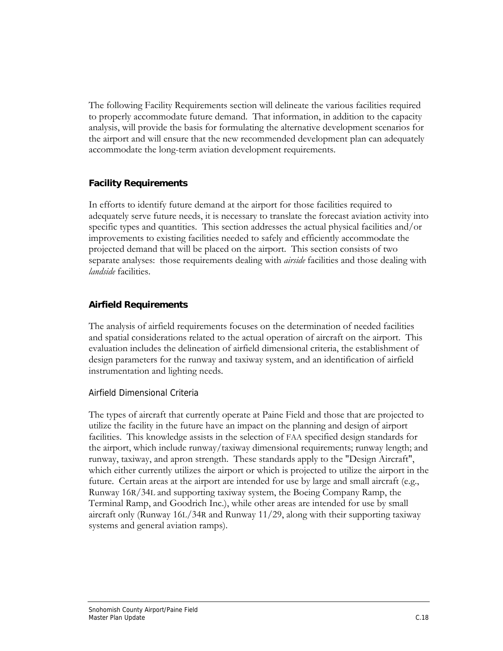The following Facility Requirements section will delineate the various facilities required to properly accommodate future demand. That information, in addition to the capacity analysis, will provide the basis for formulating the alternative development scenarios for the airport and will ensure that the new recommended development plan can adequately accommodate the long-term aviation development requirements.

## **Facility Requirements**

In efforts to identify future demand at the airport for those facilities required to adequately serve future needs, it is necessary to translate the forecast aviation activity into specific types and quantities. This section addresses the actual physical facilities and/or improvements to existing facilities needed to safely and efficiently accommodate the projected demand that will be placed on the airport. This section consists of two separate analyses: those requirements dealing with *airside* facilities and those dealing with *landside* facilities.

## **Airfield Requirements**

The analysis of airfield requirements focuses on the determination of needed facilities and spatial considerations related to the actual operation of aircraft on the airport. This evaluation includes the delineation of airfield dimensional criteria, the establishment of design parameters for the runway and taxiway system, and an identification of airfield instrumentation and lighting needs.

## Airfield Dimensional Criteria

The types of aircraft that currently operate at Paine Field and those that are projected to utilize the facility in the future have an impact on the planning and design of airport facilities. This knowledge assists in the selection of FAA specified design standards for the airport, which include runway/taxiway dimensional requirements; runway length; and runway, taxiway, and apron strength. These standards apply to the "Design Aircraft", which either currently utilizes the airport or which is projected to utilize the airport in the future. Certain areas at the airport are intended for use by large and small aircraft (e.g., Runway 16R/34L and supporting taxiway system, the Boeing Company Ramp, the Terminal Ramp, and Goodrich Inc.), while other areas are intended for use by small aircraft only (Runway 16L/34R and Runway 11/29, along with their supporting taxiway systems and general aviation ramps).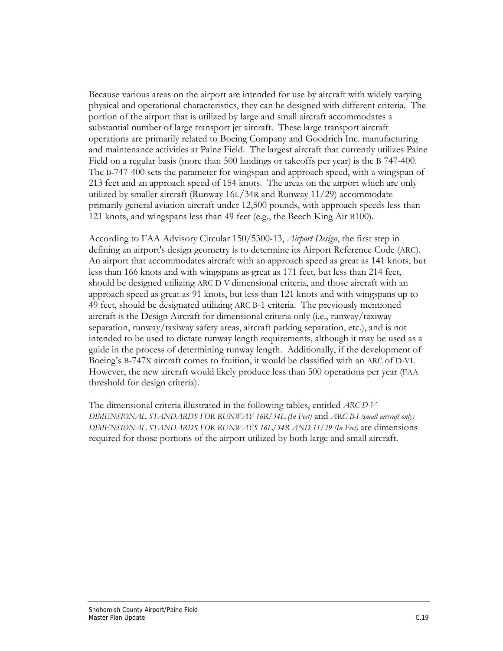Because various areas on the airport are intended for use by aircraft with widely varying physical and operational characteristics, they can be designed with different criteria. The portion of the airport that is utilized by large and small aircraft accommodates a substantial number of large transport jet aircraft. These large transport aircraft operations are primarily related to Boeing Company and Goodrich Inc. manufacturing and maintenance activities at Paine Field. The largest aircraft that currently utilizes Paine Field on a regular basis (more than 500 landings or takeoffs per year) is the B-747-400. The B-747-400 sets the parameter for wingspan and approach speed, with a wingspan of 213 feet and an approach speed of 154 knots. The areas on the airport which are only utilized by smaller aircraft (Runway 16L/34R and Runway 11/29) accommodate primarily general aviation aircraft under 12,500 pounds, with approach speeds less than 121 knots, and wingspans less than 49 feet (e.g., the Beech King Air B100).

According to FAA Advisory Circular 150/5300-13, *Airport Design*, the first step in defining an airport's design geometry is to determine its Airport Reference Code (ARC). An airport that accommodates aircraft with an approach speed as great as 141 knots, but less than 166 knots and with wingspans as great as 171 feet, but less than 214 feet, should be designed utilizing ARC D-V dimensional criteria, and those aircraft with an approach speed as great as 91 knots, but less than 121 knots and with wingspans up to 49 feet, should be designated utilizing ARC B-1 criteria. The previously mentioned aircraft is the Design Aircraft for dimensional criteria only (i.e., runway/taxiway separation, runway/taxiway safety areas, aircraft parking separation, etc.), and is not intended to be used to dictate runway length requirements, although it may be used as a guide in the process of determining runway length. Additionally, if the development of Boeing's B-747X aircraft comes to fruition, it would be classified with an ARC of D-VI. However, the new aircraft would likely produce less than 500 operations per year (FAA threshold for design criteria).

The dimensional criteria illustrated in the following tables, entitled *ARC D-V DIMENSIONAL STANDARDS FOR RUNWAY 16R/34L (In Feet)* and *ARC B-I (small aircraft only) DIMENSIONAL STANDARDS FOR RUNWAYS 16L/34R AND 11/29 (In Feet)* are dimensions required for those portions of the airport utilized by both large and small aircraft.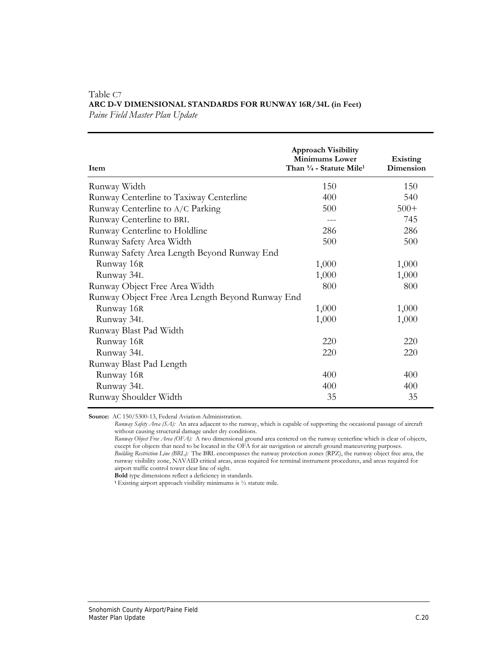| Item                                             | <b>Approach Visibility</b><br><b>Minimums Lower</b><br>Than 3/4 - Statute Mile <sup>1</sup> | <b>Existing</b><br>Dimension |
|--------------------------------------------------|---------------------------------------------------------------------------------------------|------------------------------|
| Runway Width                                     | 150                                                                                         | 150                          |
| Runway Centerline to Taxiway Centerline          | 400                                                                                         | 540                          |
| Runway Centerline to A/C Parking                 | 500                                                                                         | $500+$                       |
| Runway Centerline to BRL                         | ---                                                                                         | 745                          |
| Runway Centerline to Holdline                    | 286                                                                                         | 286                          |
| Runway Safety Area Width                         | 500                                                                                         | 500                          |
| Runway Safety Area Length Beyond Runway End      |                                                                                             |                              |
| Runway 16R                                       | 1,000                                                                                       | 1,000                        |
| Runway 34L                                       | 1,000                                                                                       | 1,000                        |
| Runway Object Free Area Width                    | 800                                                                                         | 800                          |
| Runway Object Free Area Length Beyond Runway End |                                                                                             |                              |
| Runway 16R                                       | 1,000                                                                                       | 1,000                        |
| Runway 34L                                       | 1,000                                                                                       | 1,000                        |
| Runway Blast Pad Width                           |                                                                                             |                              |
| Runway 16R                                       | 220                                                                                         | 220                          |
| Runway 34L                                       | 220                                                                                         | 220                          |
| Runway Blast Pad Length                          |                                                                                             |                              |
| Runway 16R                                       | 400                                                                                         | 400                          |
| Runway 34L                                       | 400                                                                                         | 400                          |
| Runway Shoulder Width                            | 35                                                                                          | 35                           |

#### Table C7 **ARC D-V DIMENSIONAL STANDARDS FOR RUNWAY 16R/34L (in Feet)** *Paine Field Master Plan Update*

**Source:** AC 150/5300-13, Federal Aviation Administration.

*Runway Safety Area (SA):* An area adjacent to the runway, which is capable of supporting the occasional passage of aircraft without causing structural damage under dry conditions.

*Runway Object Free Area (OFA):* A two dimensional ground area centered on the runway centerline which is clear of objects, except for objects that need to be located in the OFA for air navigation or aircraft ground maneuvering purposes. *Building Restriction Line (BRL):* The BRL encompasses the runway protection zones (RPZ), the runway object free area, the runway visibility zone, NAVAID critical areas, areas required for terminal instrument procedures, and areas required for airport traffic control tower clear line of sight.

**Bold** type dimensions reflect a deficiency in standards.

**1** Existing airport approach visibility minimums is ½ statute mile.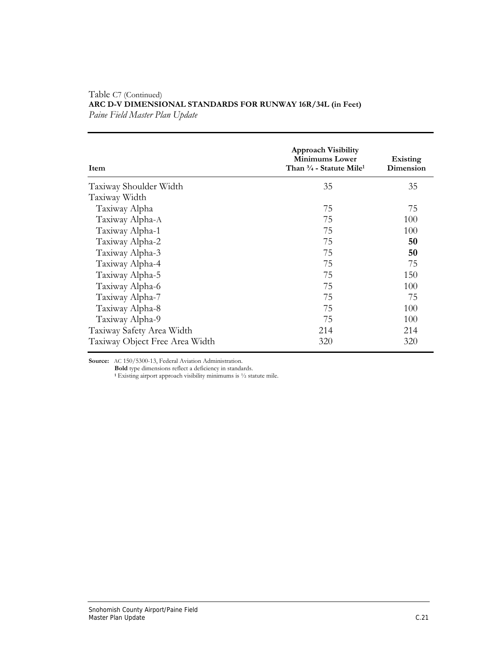| Item                           | <b>Approach Visibility</b><br><b>Minimums Lower</b><br>Than $\frac{3}{4}$ - Statute Mile <sup>1</sup> | Existing<br>Dimension |
|--------------------------------|-------------------------------------------------------------------------------------------------------|-----------------------|
| Taxiway Shoulder Width         | 35                                                                                                    | 35                    |
| Taxiway Width                  |                                                                                                       |                       |
| Taxiway Alpha                  | 75                                                                                                    | 75                    |
| Taxiway Alpha-A                | 75                                                                                                    | 100                   |
| Taxiway Alpha-1                | 75                                                                                                    | 100                   |
| Taxiway Alpha-2                | 75                                                                                                    | 50                    |
| Taxiway Alpha-3                | 75                                                                                                    | 50                    |
| Taxiway Alpha-4                | 75                                                                                                    | 75                    |
| Taxiway Alpha-5                | 75                                                                                                    | 150                   |
| Taxiway Alpha-6                | 75                                                                                                    | 100                   |
| Taxiway Alpha-7                | 75                                                                                                    | 75                    |
| Taxiway Alpha-8                | 75                                                                                                    | 100                   |
| Taxiway Alpha-9                | 75                                                                                                    | 100                   |
| Taxiway Safety Area Width      | 214                                                                                                   | 214                   |
| Taxiway Object Free Area Width | 320                                                                                                   | 320                   |

#### Table C7 (Continued) **ARC D-V DIMENSIONAL STANDARDS FOR RUNWAY 16R/34L (in Feet)** *Paine Field Master Plan Update*

**Source:** AC 150/5300-13, Federal Aviation Administration.

**Bold** type dimensions reflect a deficiency in standards.

**1** Existing airport approach visibility minimums is ½ statute mile.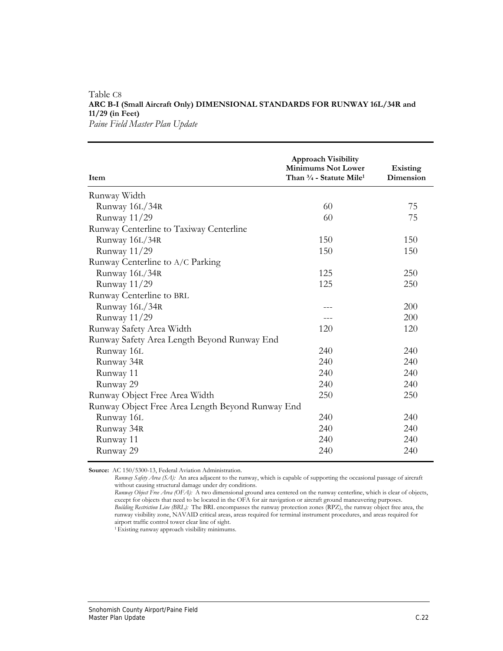## Table C8 **ARC B-I (Small Aircraft Only) DIMENSIONAL STANDARDS FOR RUNWAY 16L/34R and 11/29 (in Feet)**

*Paine Field Master Plan Update* 

| Item                                             | <b>Approach Visibility</b><br><b>Minimums Not Lower</b><br>Than $\frac{3}{4}$ - Statute Mile <sup>1</sup> | Existing<br>Dimension |
|--------------------------------------------------|-----------------------------------------------------------------------------------------------------------|-----------------------|
| Runway Width                                     |                                                                                                           |                       |
| Runway 16L/34R                                   | 60                                                                                                        | 75                    |
| Runway 11/29                                     | 60                                                                                                        | 75                    |
| Runway Centerline to Taxiway Centerline          |                                                                                                           |                       |
| Runway 16L/34R                                   | 150                                                                                                       | 150                   |
| Runway 11/29                                     | 150                                                                                                       | 150                   |
| Runway Centerline to A/C Parking                 |                                                                                                           |                       |
| Runway 16L/34R                                   | 125                                                                                                       | 250                   |
| Runway 11/29                                     | 125                                                                                                       | 250                   |
| Runway Centerline to BRL                         |                                                                                                           |                       |
| Runway 16L/34R                                   | ---                                                                                                       | <b>200</b>            |
| Runway 11/29                                     | ---                                                                                                       | 200                   |
| Runway Safety Area Width                         | 120                                                                                                       | 120                   |
| Runway Safety Area Length Beyond Runway End      |                                                                                                           |                       |
| Runway 16L                                       | 240                                                                                                       | 240                   |
| Runway 34R                                       | 240                                                                                                       | 240                   |
| Runway 11                                        | 240                                                                                                       | 240                   |
| Runway 29                                        | 240                                                                                                       | 240                   |
| Runway Object Free Area Width                    | 250                                                                                                       | 250                   |
| Runway Object Free Area Length Beyond Runway End |                                                                                                           |                       |
| Runway 16L                                       | 240                                                                                                       | 240                   |
| Runway 34R                                       | 240                                                                                                       | 240                   |
| Runway 11                                        | 240                                                                                                       | 240                   |
| Runway 29                                        | 240                                                                                                       | 240                   |

**Source:** AC 150/5300-13, Federal Aviation Administration.

*Runway Safety Area (SA):* An area adjacent to the runway, which is capable of supporting the occasional passage of aircraft without causing structural damage under dry conditions.

1 Existing runway approach visibility minimums.

*Runway Object Free Area (OFA):* A two dimensional ground area centered on the runway centerline, which is clear of objects, except for objects that need to be located in the OFA for air navigation or aircraft ground maneuvering purposes. *Building Restriction Line (BRL):* The BRL encompasses the runway protection zones (RPZ), the runway object free area, the runway visibility zone, NAVAID critical areas, areas required for terminal instrument procedures, and areas required for airport traffic control tower clear line of sight.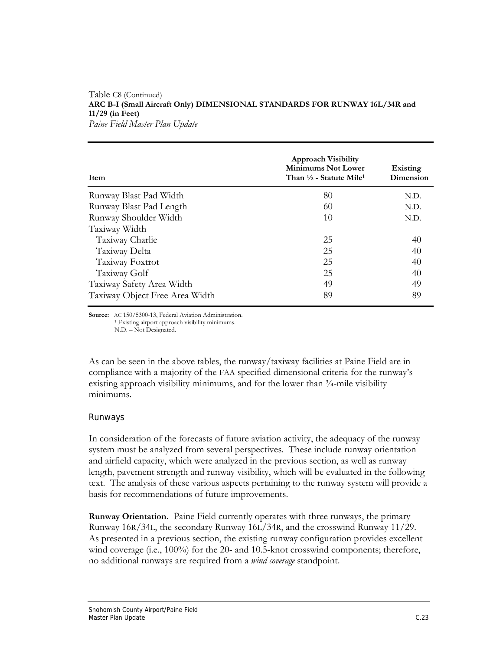#### Table C8 (Continued) **ARC B-I (Small Aircraft Only) DIMENSIONAL STANDARDS FOR RUNWAY 16L/34R and 11/29 (in Feet)**  *Paine Field Master Plan Update*

| <b>Item</b>                    | <b>Approach Visibility</b><br><b>Minimums Not Lower</b><br>Than $\frac{1}{2}$ - Statute Mile <sup>1</sup> | Existing<br>Dimension |
|--------------------------------|-----------------------------------------------------------------------------------------------------------|-----------------------|
| Runway Blast Pad Width         | 80                                                                                                        | N.D.                  |
| Runway Blast Pad Length        | 60                                                                                                        | N.D.                  |
| Runway Shoulder Width          | 10                                                                                                        | N.D.                  |
| Taxiway Width                  |                                                                                                           |                       |
| Taxiway Charlie                | 25                                                                                                        | 40                    |
| Taxiway Delta                  | 25                                                                                                        | 40                    |
| Taxiway Foxtrot                | 25                                                                                                        | 40                    |
| Taxiway Golf                   | 25                                                                                                        | 40                    |
| Taxiway Safety Area Width      | 49                                                                                                        | 49                    |
| Taxiway Object Free Area Width | 89                                                                                                        | 89                    |

**Source:** AC 150/5300-13, Federal Aviation Administration.<br><sup>1</sup> Existing airport approach visibility minimums. N.D. – Not Designated.

As can be seen in the above tables, the runway/taxiway facilities at Paine Field are in compliance with a majority of the FAA specified dimensional criteria for the runway's existing approach visibility minimums, and for the lower than  $\frac{3}{4}$ -mile visibility minimums.

### Runways

In consideration of the forecasts of future aviation activity, the adequacy of the runway system must be analyzed from several perspectives. These include runway orientation and airfield capacity, which were analyzed in the previous section, as well as runway length, pavement strength and runway visibility, which will be evaluated in the following text. The analysis of these various aspects pertaining to the runway system will provide a basis for recommendations of future improvements.

**Runway Orientation.** Paine Field currently operates with three runways, the primary Runway 16R/34L, the secondary Runway 16L/34R, and the crosswind Runway 11/29. As presented in a previous section, the existing runway configuration provides excellent wind coverage (i.e., 100%) for the 20- and 10.5-knot crosswind components; therefore, no additional runways are required from a *wind coverage* standpoint.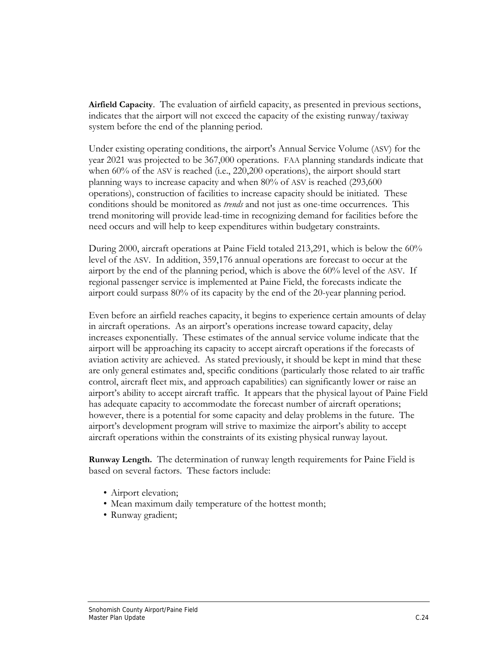**Airfield Capacity**. The evaluation of airfield capacity, as presented in previous sections, indicates that the airport will not exceed the capacity of the existing runway/taxiway system before the end of the planning period.

Under existing operating conditions, the airport's Annual Service Volume (ASV) for the year 2021 was projected to be 367,000 operations. FAA planning standards indicate that when 60% of the ASV is reached (i.e., 220,200 operations), the airport should start planning ways to increase capacity and when 80% of ASV is reached (293,600 operations), construction of facilities to increase capacity should be initiated. These conditions should be monitored as *trends* and not just as one-time occurrences. This trend monitoring will provide lead-time in recognizing demand for facilities before the need occurs and will help to keep expenditures within budgetary constraints.

During 2000, aircraft operations at Paine Field totaled 213,291, which is below the 60% level of the ASV. In addition, 359,176 annual operations are forecast to occur at the airport by the end of the planning period, which is above the 60% level of the ASV. If regional passenger service is implemented at Paine Field, the forecasts indicate the airport could surpass 80% of its capacity by the end of the 20-year planning period.

Even before an airfield reaches capacity, it begins to experience certain amounts of delay in aircraft operations. As an airport's operations increase toward capacity, delay increases exponentially. These estimates of the annual service volume indicate that the airport will be approaching its capacity to accept aircraft operations if the forecasts of aviation activity are achieved. As stated previously, it should be kept in mind that these are only general estimates and, specific conditions (particularly those related to air traffic control, aircraft fleet mix, and approach capabilities) can significantly lower or raise an airport's ability to accept aircraft traffic. It appears that the physical layout of Paine Field has adequate capacity to accommodate the forecast number of aircraft operations; however, there is a potential for some capacity and delay problems in the future. The airport's development program will strive to maximize the airport's ability to accept aircraft operations within the constraints of its existing physical runway layout.

**Runway Length.** The determination of runway length requirements for Paine Field is based on several factors. These factors include:

- Airport elevation;
- Mean maximum daily temperature of the hottest month;
- Runway gradient;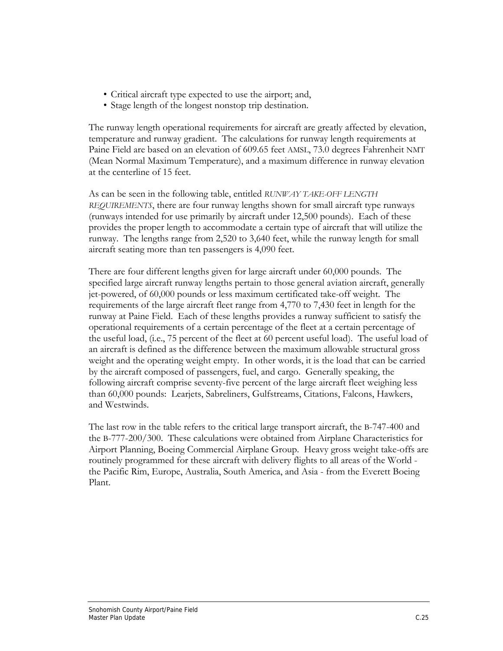- Critical aircraft type expected to use the airport; and,
- Stage length of the longest nonstop trip destination.

The runway length operational requirements for aircraft are greatly affected by elevation, temperature and runway gradient. The calculations for runway length requirements at Paine Field are based on an elevation of 609.65 feet AMSL, 73.0 degrees Fahrenheit NMT (Mean Normal Maximum Temperature), and a maximum difference in runway elevation at the centerline of 15 feet.

As can be seen in the following table, entitled *RUNWAY TAKE-OFF LENGTH REQUIREMENTS*, there are four runway lengths shown for small aircraft type runways (runways intended for use primarily by aircraft under 12,500 pounds). Each of these provides the proper length to accommodate a certain type of aircraft that will utilize the runway. The lengths range from 2,520 to 3,640 feet, while the runway length for small aircraft seating more than ten passengers is 4,090 feet.

There are four different lengths given for large aircraft under 60,000 pounds. The specified large aircraft runway lengths pertain to those general aviation aircraft, generally jet-powered, of 60,000 pounds or less maximum certificated take-off weight. The requirements of the large aircraft fleet range from 4,770 to 7,430 feet in length for the runway at Paine Field. Each of these lengths provides a runway sufficient to satisfy the operational requirements of a certain percentage of the fleet at a certain percentage of the useful load, (i.e., 75 percent of the fleet at 60 percent useful load). The useful load of an aircraft is defined as the difference between the maximum allowable structural gross weight and the operating weight empty. In other words, it is the load that can be carried by the aircraft composed of passengers, fuel, and cargo. Generally speaking, the following aircraft comprise seventy-five percent of the large aircraft fleet weighing less than 60,000 pounds: Learjets, Sabreliners, Gulfstreams, Citations, Falcons, Hawkers, and Westwinds.

The last row in the table refers to the critical large transport aircraft, the B-747-400 and the B-777-200/300. These calculations were obtained from Airplane Characteristics for Airport Planning, Boeing Commercial Airplane Group. Heavy gross weight take-offs are routinely programmed for these aircraft with delivery flights to all areas of the World the Pacific Rim, Europe, Australia, South America, and Asia - from the Everett Boeing Plant.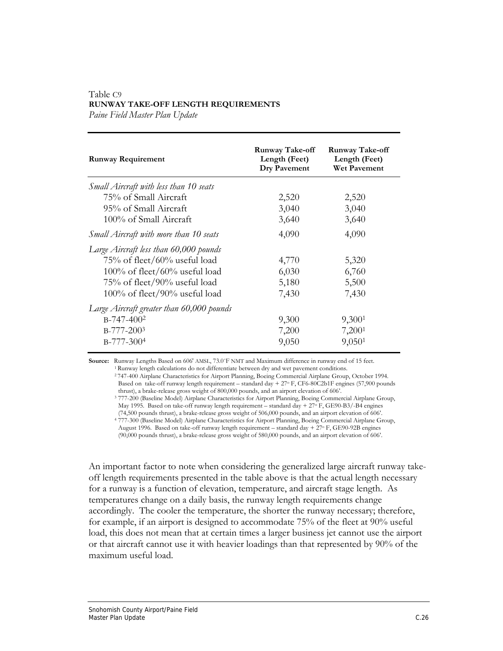## Table C9 **RUNWAY TAKE-OFF LENGTH REQUIREMENTS**

*Paine Field Master Plan Update* 

| <b>Runway Requirement</b>                 | <b>Runway Take-off</b><br>Length (Feet)<br>Dry Pavement | Runway Take-off<br>Length (Feet)<br>Wet Pavement |
|-------------------------------------------|---------------------------------------------------------|--------------------------------------------------|
| Small Aircraft with less than 10 seats    |                                                         |                                                  |
| 75% of Small Aircraft                     | 2,520                                                   | 2,520                                            |
| 95% of Small Aircraft                     | 3,040                                                   | 3,040                                            |
| 100% of Small Aircraft                    | 3,640                                                   | 3,640                                            |
| Small Aircraft with more than 10 seats    | 4,090                                                   | 4,090                                            |
| Large Aircraft less than 60,000 pounds    |                                                         |                                                  |
| 75% of fleet/60% useful load              | 4,770                                                   | 5,320                                            |
| $100\%$ of fleet/60% useful load          | 6,030                                                   | 6,760                                            |
| 75% of fleet/90% useful load              | 5,180                                                   | 5,500                                            |
| $100\%$ of fleet/90% useful load          | 7,430                                                   | 7,430                                            |
| Large Aircraft greater than 60,000 pounds |                                                         |                                                  |
| $B-747-400^2$                             | 9,300                                                   | 9,300 <sup>1</sup>                               |
| B-777-2003                                | 7,200                                                   | 7,200 <sup>1</sup>                               |
| $B-777-3004$                              | 9,050                                                   | 9,050 <sup>1</sup>                               |

**Source:** Runway Lengths Based on 606' AMSL, 73.0°F NMT and Maximum difference in runway end of 15 feet.<br><sup>1</sup> Runway length calculations do not differentiate between dry and wet pavement conditions.<br><sup>2</sup>747-400 Airplane Char

Based on take-off runway length requirement – standard day +  $27\textdegree$  F, CF6-80C2b1F engines (57,900 pounds thrust), a brake-release gross weight of 800,000 pounds, and an airport elevation of 606'.

<sup>3</sup> 777-200 (Baseline Model) Airplane Characteristics for Airport Planning, Boeing Commercial Airplane Group,

May 1995. Based on take-off runway length requirement – standard day +  $27^{\circ}$  F, GE90-B3/-B4 engines (74,500 pounds thrust), a brake-release gross weight of 506,000 pounds, and an airport elevation of 606'.

<sup>4</sup>777-300 (Baseline Model) Airplane Characteristics for Airport Planning, Boeing Commercial Airplane Group,

August 1996. Based on take-off runway length requirement – standard day +  $27\degree$  F, GE90-92B engines

(90,000 pounds thrust), a brake-release gross weight of 580,000 pounds, and an airport elevation of 606'.

An important factor to note when considering the generalized large aircraft runway takeoff length requirements presented in the table above is that the actual length necessary for a runway is a function of elevation, temperature, and aircraft stage length. As temperatures change on a daily basis, the runway length requirements change accordingly. The cooler the temperature, the shorter the runway necessary; therefore, for example, if an airport is designed to accommodate 75% of the fleet at 90% useful load, this does not mean that at certain times a larger business jet cannot use the airport or that aircraft cannot use it with heavier loadings than that represented by 90% of the maximum useful load.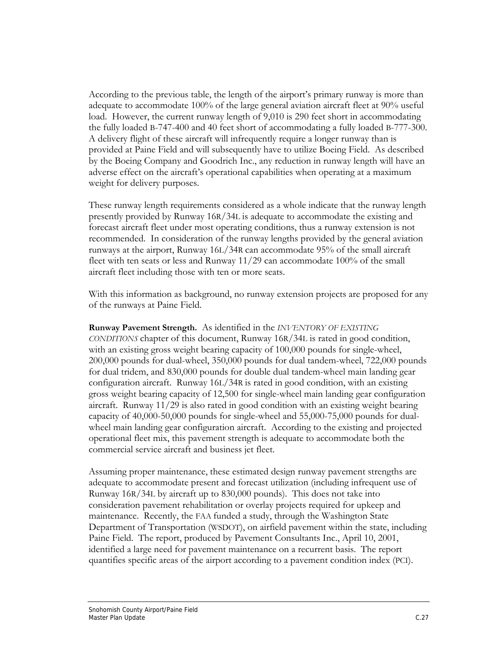According to the previous table, the length of the airport's primary runway is more than adequate to accommodate 100% of the large general aviation aircraft fleet at 90% useful load. However, the current runway length of 9,010 is 290 feet short in accommodating the fully loaded B-747-400 and 40 feet short of accommodating a fully loaded B-777-300. A delivery flight of these aircraft will infrequently require a longer runway than is provided at Paine Field and will subsequently have to utilize Boeing Field. As described by the Boeing Company and Goodrich Inc., any reduction in runway length will have an adverse effect on the aircraft's operational capabilities when operating at a maximum weight for delivery purposes.

These runway length requirements considered as a whole indicate that the runway length presently provided by Runway 16R/34L is adequate to accommodate the existing and forecast aircraft fleet under most operating conditions, thus a runway extension is not recommended. In consideration of the runway lengths provided by the general aviation runways at the airport, Runway 16L/34R can accommodate 95% of the small aircraft fleet with ten seats or less and Runway 11/29 can accommodate 100% of the small aircraft fleet including those with ten or more seats.

With this information as background, no runway extension projects are proposed for any of the runways at Paine Field.

**Runway Pavement Strength.** As identified in the *INVENTORY OF EXISTING CONDITIONS* chapter of this document, Runway 16R/34L is rated in good condition, with an existing gross weight bearing capacity of 100,000 pounds for single-wheel, 200,000 pounds for dual-wheel, 350,000 pounds for dual tandem-wheel, 722,000 pounds for dual tridem, and 830,000 pounds for double dual tandem-wheel main landing gear configuration aircraft. Runway 16L/34R is rated in good condition, with an existing gross weight bearing capacity of 12,500 for single-wheel main landing gear configuration aircraft. Runway 11/29 is also rated in good condition with an existing weight bearing capacity of 40,000-50,000 pounds for single-wheel and 55,000-75,000 pounds for dualwheel main landing gear configuration aircraft. According to the existing and projected operational fleet mix, this pavement strength is adequate to accommodate both the commercial service aircraft and business jet fleet.

Assuming proper maintenance, these estimated design runway pavement strengths are adequate to accommodate present and forecast utilization (including infrequent use of Runway 16R/34L by aircraft up to 830,000 pounds). This does not take into consideration pavement rehabilitation or overlay projects required for upkeep and maintenance. Recently, the FAA funded a study, through the Washington State Department of Transportation (WSDOT), on airfield pavement within the state, including Paine Field. The report, produced by Pavement Consultants Inc., April 10, 2001, identified a large need for pavement maintenance on a recurrent basis. The report quantifies specific areas of the airport according to a pavement condition index (PCI).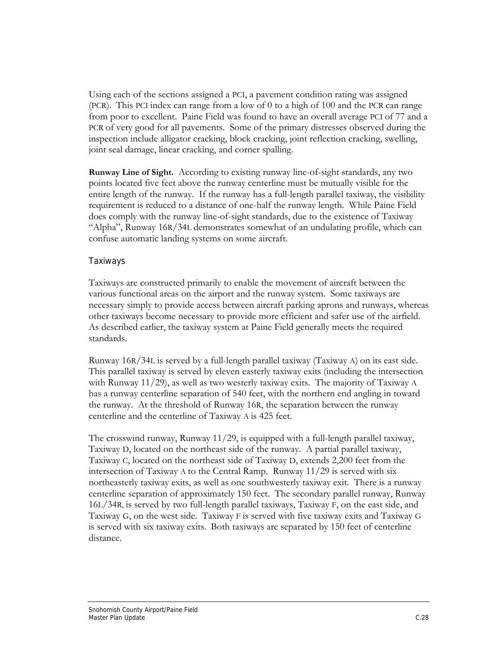Using each of the sections assigned a PCI, a pavement condition rating was assigned (PCR). This PCI index can range from a low of 0 to a high of 100 and the PCR can range from poor to excellent. Paine Field was found to have an overall average PCI of 77 and a PCR of very good for all pavements. Some of the primary distresses observed during the inspection include alligator cracking, block cracking, joint reflection cracking, swelling, joint seal damage, linear cracking, and corner spalling.

**Runway Line of Sight.** According to existing runway line-of-sight standards, any two points located five feet above the runway centerline must be mutually visible for the entire length of the runway. If the runway has a full-length parallel taxiway, the visibility requirement is reduced to a distance of one-half the runway length. While Paine Field does comply with the runway line-of-sight standards, due to the existence of Taxiway "Alpha", Runway 16R/34L demonstrates somewhat of an undulating profile, which can confuse automatic landing systems on some aircraft.

### Taxiways

Taxiways are constructed primarily to enable the movement of aircraft between the various functional areas on the airport and the runway system. Some taxiways are necessary simply to provide access between aircraft parking aprons and runways, whereas other taxiways become necessary to provide more efficient and safer use of the airfield. As described earlier, the taxiway system at Paine Field generally meets the required standards.

Runway 16R/34L is served by a full-length parallel taxiway (Taxiway A) on its east side. This parallel taxiway is served by eleven easterly taxiway exits (including the intersection with Runway 11/29), as well as two westerly taxiway exits. The majority of Taxiway A has a runway centerline separation of 540 feet, with the northern end angling in toward the runway. At the threshold of Runway 16R, the separation between the runway centerline and the centerline of Taxiway A is 425 feet.

The crosswind runway, Runway  $11/29$ , is equipped with a full-length parallel taxiway, Taxiway D, located on the northeast side of the runway. A partial parallel taxiway, Taxiway C, located on the northeast side of Taxiway D, extends 2,200 feet from the intersection of Taxiway A to the Central Ramp. Runway 11/29 is served with six northeasterly taxiway exits, as well as one southwesterly taxiway exit. There is a runway centerline separation of approximately 150 feet. The secondary parallel runway, Runway 16L/34R, is served by two full-length parallel taxiways, Taxiway F, on the east side, and Taxiway G, on the west side. Taxiway F is served with five taxiway exits and Taxiway G is served with six taxiway exits. Both taxiways are separated by 150 feet of centerline distance.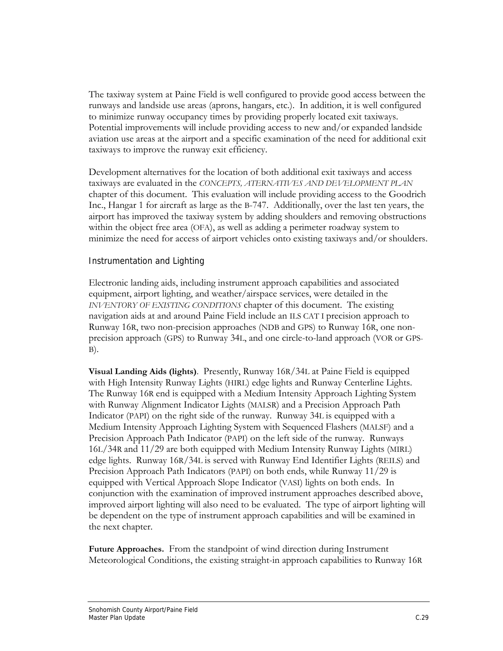The taxiway system at Paine Field is well configured to provide good access between the runways and landside use areas (aprons, hangars, etc.). In addition, it is well configured to minimize runway occupancy times by providing properly located exit taxiways. Potential improvements will include providing access to new and/or expanded landside aviation use areas at the airport and a specific examination of the need for additional exit taxiways to improve the runway exit efficiency.

Development alternatives for the location of both additional exit taxiways and access taxiways are evaluated in the *CONCEPTS, ATERNATIVES AND DEVELOPMENT PLAN*  chapter of this document. This evaluation will include providing access to the Goodrich Inc., Hangar 1 for aircraft as large as the B-747. Additionally, over the last ten years, the airport has improved the taxiway system by adding shoulders and removing obstructions within the object free area (OFA), as well as adding a perimeter roadway system to minimize the need for access of airport vehicles onto existing taxiways and/or shoulders.

### Instrumentation and Lighting

Electronic landing aids, including instrument approach capabilities and associated equipment, airport lighting, and weather/airspace services, were detailed in the *INVENTORY OF EXISTING CONDITIONS* chapter of this document. The existing navigation aids at and around Paine Field include an ILS CAT I precision approach to Runway 16R, two non-precision approaches (NDB and GPS) to Runway 16R, one nonprecision approach (GPS) to Runway 34L, and one circle-to-land approach (VOR or GPS- $B$ ).

**Visual Landing Aids (lights)**. Presently, Runway 16R/34L at Paine Field is equipped with High Intensity Runway Lights (HIRL) edge lights and Runway Centerline Lights. The Runway 16R end is equipped with a Medium Intensity Approach Lighting System with Runway Alignment Indicator Lights (MALSR) and a Precision Approach Path Indicator (PAPI) on the right side of the runway. Runway 34L is equipped with a Medium Intensity Approach Lighting System with Sequenced Flashers (MALSF) and a Precision Approach Path Indicator (PAPI) on the left side of the runway. Runways 16L/34R and 11/29 are both equipped with Medium Intensity Runway Lights (MIRL) edge lights. Runway 16R/34L is served with Runway End Identifier Lights (REILS) and Precision Approach Path Indicators (PAPI) on both ends, while Runway 11/29 is equipped with Vertical Approach Slope Indicator (VASI) lights on both ends. In conjunction with the examination of improved instrument approaches described above, improved airport lighting will also need to be evaluated. The type of airport lighting will be dependent on the type of instrument approach capabilities and will be examined in the next chapter.

**Future Approaches.** From the standpoint of wind direction during Instrument Meteorological Conditions, the existing straight-in approach capabilities to Runway 16R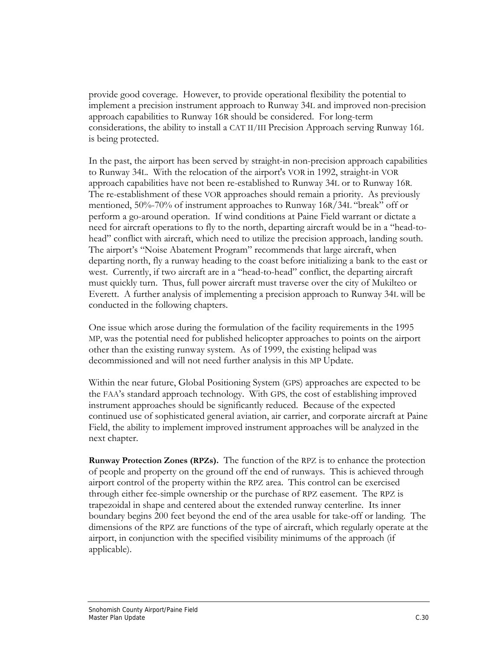provide good coverage. However, to provide operational flexibility the potential to implement a precision instrument approach to Runway 34L and improved non-precision approach capabilities to Runway 16R should be considered. For long-term considerations, the ability to install a CAT II/III Precision Approach serving Runway 16L is being protected.

In the past, the airport has been served by straight-in non-precision approach capabilities to Runway 34L. With the relocation of the airport's VOR in 1992, straight-in VOR approach capabilities have not been re-established to Runway 34L or to Runway 16R. The re-establishment of these VOR approaches should remain a priority. As previously mentioned, 50%-70% of instrument approaches to Runway 16R/34L "break" off or perform a go-around operation. If wind conditions at Paine Field warrant or dictate a need for aircraft operations to fly to the north, departing aircraft would be in a "head-tohead" conflict with aircraft, which need to utilize the precision approach, landing south. The airport's "Noise Abatement Program" recommends that large aircraft, when departing north, fly a runway heading to the coast before initializing a bank to the east or west. Currently, if two aircraft are in a "head-to-head" conflict, the departing aircraft must quickly turn. Thus, full power aircraft must traverse over the city of Mukilteo or Everett. A further analysis of implementing a precision approach to Runway 34L will be conducted in the following chapters.

One issue which arose during the formulation of the facility requirements in the 1995 MP, was the potential need for published helicopter approaches to points on the airport other than the existing runway system. As of 1999, the existing helipad was decommissioned and will not need further analysis in this MP Update.

Within the near future, Global Positioning System (GPS) approaches are expected to be the FAA's standard approach technology. With GPS, the cost of establishing improved instrument approaches should be significantly reduced. Because of the expected continued use of sophisticated general aviation, air carrier, and corporate aircraft at Paine Field, the ability to implement improved instrument approaches will be analyzed in the next chapter.

**Runway Protection Zones (RPZs).** The function of the RPZ is to enhance the protection of people and property on the ground off the end of runways. This is achieved through airport control of the property within the RPZ area. This control can be exercised through either fee-simple ownership or the purchase of RPZ easement. The RPZ is trapezoidal in shape and centered about the extended runway centerline. Its inner boundary begins 200 feet beyond the end of the area usable for take-off or landing. The dimensions of the RPZ are functions of the type of aircraft, which regularly operate at the airport, in conjunction with the specified visibility minimums of the approach (if applicable).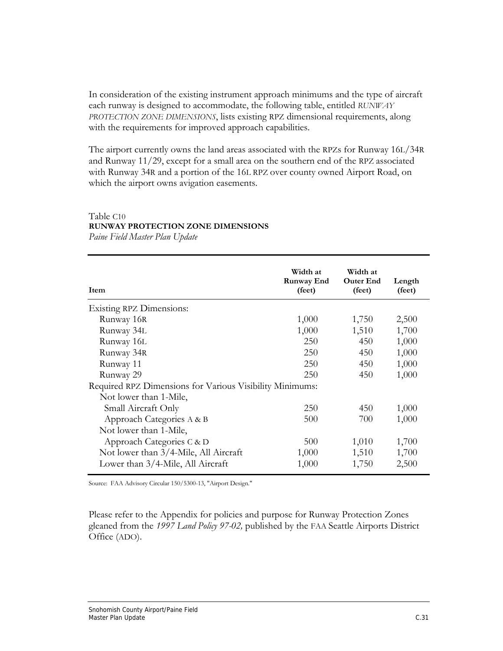In consideration of the existing instrument approach minimums and the type of aircraft each runway is designed to accommodate, the following table, entitled *RUNWAY PROTECTION ZONE DIMENSIONS*, lists existing RPZ dimensional requirements, along with the requirements for improved approach capabilities.

The airport currently owns the land areas associated with the RPZs for Runway 16L/34R and Runway 11/29, except for a small area on the southern end of the RPZ associated with Runway 34R and a portion of the 16L RPZ over county owned Airport Road, on which the airport owns avigation easements.

#### Table C10

### **RUNWAY PROTECTION ZONE DIMENSIONS**

*Paine Field Master Plan Update* 

| Item                                                     | Width at<br>Runway End<br>(feet) | Width at<br><b>Outer End</b><br>(feet) | Length<br>(feet) |
|----------------------------------------------------------|----------------------------------|----------------------------------------|------------------|
| <b>Existing RPZ Dimensions:</b>                          |                                  |                                        |                  |
| Runway 16R                                               | 1,000                            | 1,750                                  | 2,500            |
| Runway 34L                                               | 1,000                            | 1,510                                  | 1,700            |
| Runway 16L                                               | <b>250</b>                       | 450                                    | 1,000            |
| Runway 34R                                               | 250                              | 450                                    | 1,000            |
| Runway 11                                                | 250                              | 450                                    | 1,000            |
| Runway 29                                                | 250                              | 450                                    | 1,000            |
| Required RPZ Dimensions for Various Visibility Minimums: |                                  |                                        |                  |
| Not lower than 1-Mile,                                   |                                  |                                        |                  |
| Small Aircraft Only                                      | 250                              | 450                                    | 1,000            |
| Approach Categories A & B                                | 500                              | 700                                    | 1,000            |
| Not lower than 1-Mile,                                   |                                  |                                        |                  |
| Approach Categories C & D                                | 500                              | 1,010                                  | 1,700            |
| Not lower than 3/4-Mile, All Aircraft                    | 1,000                            | 1,510                                  | 1,700            |
| Lower than 3/4-Mile, All Aircraft                        | 1,000                            | 1,750                                  | 2,500            |

Source: FAA Advisory Circular 150/5300-13, "Airport Design."

Please refer to the Appendix for policies and purpose for Runway Protection Zones gleaned from the *1997 Land Policy 97-02,* published by the FAA Seattle Airports District Office (ADO).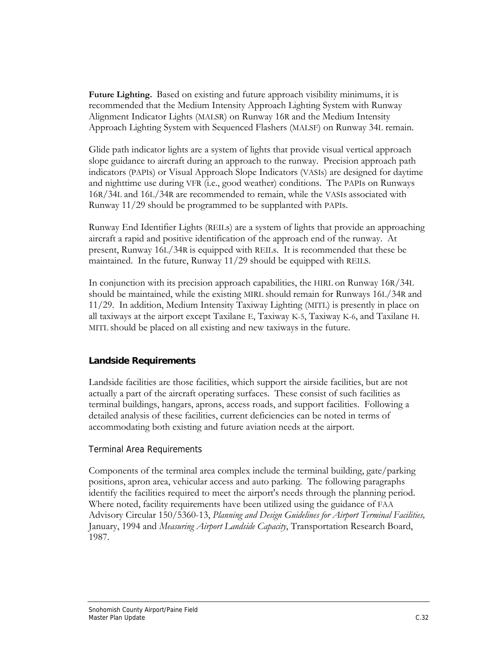**Future Lighting.** Based on existing and future approach visibility minimums, it is recommended that the Medium Intensity Approach Lighting System with Runway Alignment Indicator Lights (MALSR) on Runway 16R and the Medium Intensity Approach Lighting System with Sequenced Flashers (MALSF) on Runway 34L remain.

Glide path indicator lights are a system of lights that provide visual vertical approach slope guidance to aircraft during an approach to the runway. Precision approach path indicators (PAPIs) or Visual Approach Slope Indicators (VASIs) are designed for daytime and nighttime use during VFR (i.e., good weather) conditions. The PAPIs on Runways 16R/34L and 16L/34R are recommended to remain, while the VASIs associated with Runway 11/29 should be programmed to be supplanted with PAPIs.

Runway End Identifier Lights (REILs) are a system of lights that provide an approaching aircraft a rapid and positive identification of the approach end of the runway. At present, Runway 16L/34R is equipped with REILs. It is recommended that these be maintained. In the future, Runway 11/29 should be equipped with REILS.

In conjunction with its precision approach capabilities, the HIRL on Runway 16R/34L should be maintained, while the existing MIRL should remain for Runways 16L/34R and 11/29. In addition, Medium Intensity Taxiway Lighting (MITL) is presently in place on all taxiways at the airport except Taxilane E, Taxiway K-5, Taxiway K-6, and Taxilane H. MITL should be placed on all existing and new taxiways in the future.

## **Landside Requirements**

Landside facilities are those facilities, which support the airside facilities, but are not actually a part of the aircraft operating surfaces. These consist of such facilities as terminal buildings, hangars, aprons, access roads, and support facilities. Following a detailed analysis of these facilities, current deficiencies can be noted in terms of accommodating both existing and future aviation needs at the airport.

## Terminal Area Requirements

Components of the terminal area complex include the terminal building, gate/parking positions, apron area, vehicular access and auto parking. The following paragraphs identify the facilities required to meet the airport's needs through the planning period. Where noted, facility requirements have been utilized using the guidance of FAA Advisory Circular 150/5360-13, *Planning and Design Guidelines for Airport Terminal Facilities,* January, 1994 and *Measuring Airport Landside Capacity*, Transportation Research Board, 1987.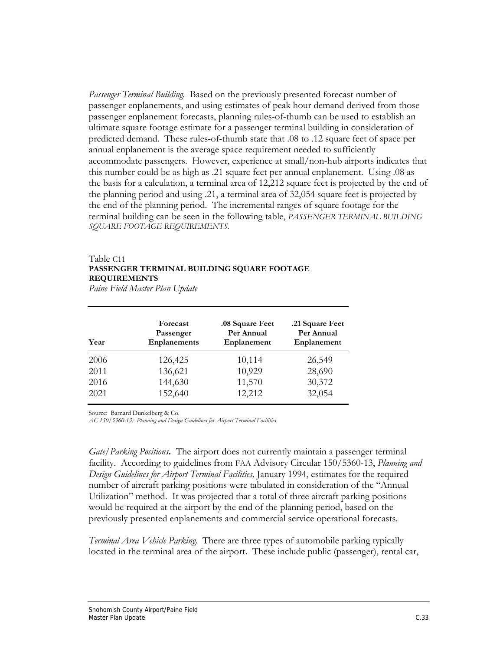*Passenger Terminal Building.* Based on the previously presented forecast number of passenger enplanements, and using estimates of peak hour demand derived from those passenger enplanement forecasts, planning rules-of-thumb can be used to establish an ultimate square footage estimate for a passenger terminal building in consideration of predicted demand. These rules-of-thumb state that .08 to .12 square feet of space per annual enplanement is the average space requirement needed to sufficiently accommodate passengers. However, experience at small/non-hub airports indicates that this number could be as high as .21 square feet per annual enplanement. Using .08 as the basis for a calculation, a terminal area of 12,212 square feet is projected by the end of the planning period and using .21, a terminal area of 32,054 square feet is projected by the end of the planning period. The incremental ranges of square footage for the terminal building can be seen in the following table, *PASSENGER TERMINAL BUILDING SQUARE FOOTAGE REQUIREMENTS.* 

### Table C11 **PASSENGER TERMINAL BUILDING SQUARE FOOTAGE REQUIREMENTS**

*Paine Field Master Plan Update* 

| Year | Forecast<br>Passenger<br><b>Enplanements</b> | .08 Square Feet<br>Per Annual<br>Enplanement | .21 Square Feet<br>Per Annual<br>Enplanement |
|------|----------------------------------------------|----------------------------------------------|----------------------------------------------|
| 2006 | 126,425                                      | 10,114                                       | 26,549                                       |
| 2011 | 136,621                                      | 10,929                                       | 28,690                                       |
| 2016 | 144,630                                      | 11,570                                       | 30,372                                       |
| 2021 | 152,640                                      | 12,212                                       | 32,054                                       |

Source: Barnard Dunkelberg & Co.

*AC 150/5360-13: Planning and Design Guidelines for Airport Terminal Facilities.* 

*Gate/Parking Positions***.** The airport does not currently maintain a passenger terminal facility. According to guidelines from FAA Advisory Circular 150/5360-13, *Planning and Design Guidelines for Airport Terminal Facilities,* January 1994, estimates for the required number of aircraft parking positions were tabulated in consideration of the "Annual Utilization" method. It was projected that a total of three aircraft parking positions would be required at the airport by the end of the planning period, based on the previously presented enplanements and commercial service operational forecasts.

*Terminal Area Vehicle Parking.* There are three types of automobile parking typically located in the terminal area of the airport. These include public (passenger), rental car,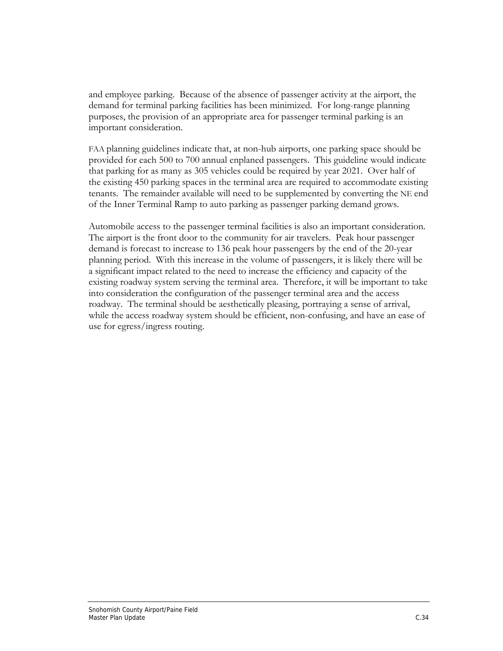and employee parking. Because of the absence of passenger activity at the airport, the demand for terminal parking facilities has been minimized. For long-range planning purposes, the provision of an appropriate area for passenger terminal parking is an important consideration.

FAA planning guidelines indicate that, at non-hub airports, one parking space should be provided for each 500 to 700 annual enplaned passengers. This guideline would indicate that parking for as many as 305 vehicles could be required by year 2021. Over half of the existing 450 parking spaces in the terminal area are required to accommodate existing tenants. The remainder available will need to be supplemented by converting the NE end of the Inner Terminal Ramp to auto parking as passenger parking demand grows.

Automobile access to the passenger terminal facilities is also an important consideration. The airport is the front door to the community for air travelers. Peak hour passenger demand is forecast to increase to 136 peak hour passengers by the end of the 20-year planning period. With this increase in the volume of passengers, it is likely there will be a significant impact related to the need to increase the efficiency and capacity of the existing roadway system serving the terminal area. Therefore, it will be important to take into consideration the configuration of the passenger terminal area and the access roadway. The terminal should be aesthetically pleasing, portraying a sense of arrival, while the access roadway system should be efficient, non-confusing, and have an ease of use for egress/ingress routing.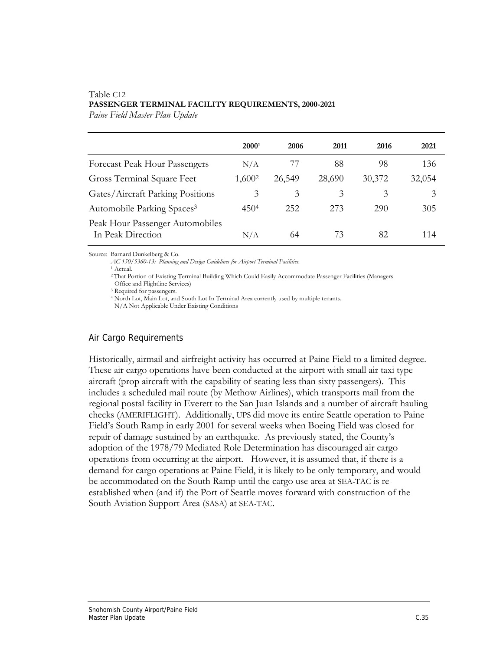## Table C12 **PASSENGER TERMINAL FACILITY REQUIREMENTS, 2000-2021**

*Paine Field Master Plan Update* 

|                                                      | 20001              | 2006   | 2011   | 2016   | 2021   |
|------------------------------------------------------|--------------------|--------|--------|--------|--------|
| Forecast Peak Hour Passengers                        | N/A                |        | 88     | 98     | 136    |
| Gross Terminal Square Feet                           | 1,600 <sup>2</sup> | 26,549 | 28,690 | 30,372 | 32,054 |
| Gates/Aircraft Parking Positions                     | 3                  | 3      | 3      | 3      | 3      |
| Automobile Parking Spaces <sup>3</sup>               | 4504               | 252    | 273    | 290    | 305    |
| Peak Hour Passenger Automobiles<br>In Peak Direction | N/A                | 64     | 73     | 82     | 114    |

Source: Barnard Dunkelberg & Co.

*AC 150/5360-13: Planning and Design Guidelines for Airport Terminal Facilities.* 

<sup>1</sup> Actual.

2 That Portion of Existing Terminal Building Which Could Easily Accommodate Passenger Facilities (Managers

Office and Flightline Services) 3 Required for passengers.

<sup>4</sup> North Lot, Main Lot, and South Lot In Terminal Area currently used by multiple tenants.

N/A Not Applicable Under Existing Conditions

### Air Cargo Requirements

Historically, airmail and airfreight activity has occurred at Paine Field to a limited degree. These air cargo operations have been conducted at the airport with small air taxi type aircraft (prop aircraft with the capability of seating less than sixty passengers). This includes a scheduled mail route (by Methow Airlines), which transports mail from the regional postal facility in Everett to the San Juan Islands and a number of aircraft hauling checks (AMERIFLIGHT). Additionally, UPS did move its entire Seattle operation to Paine Field's South Ramp in early 2001 for several weeks when Boeing Field was closed for repair of damage sustained by an earthquake. As previously stated, the County's adoption of the 1978/79 Mediated Role Determination has discouraged air cargo operations from occurring at the airport. However, it is assumed that, if there is a demand for cargo operations at Paine Field, it is likely to be only temporary, and would be accommodated on the South Ramp until the cargo use area at SEA-TAC is reestablished when (and if) the Port of Seattle moves forward with construction of the South Aviation Support Area (SASA) at SEA-TAC.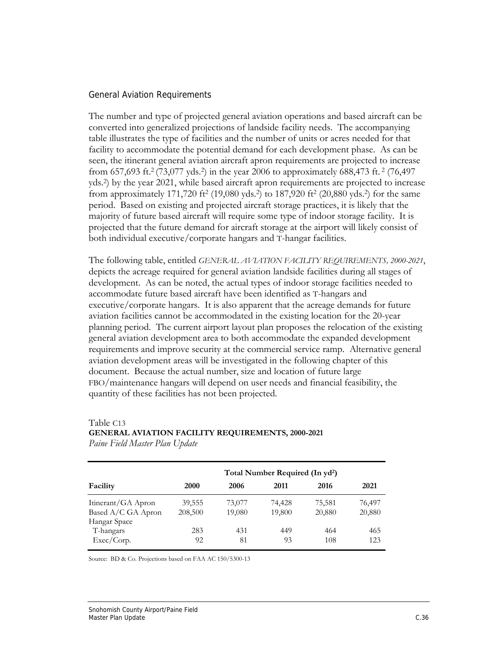#### General Aviation Requirements

The number and type of projected general aviation operations and based aircraft can be converted into generalized projections of landside facility needs. The accompanying table illustrates the type of facilities and the number of units or acres needed for that facility to accommodate the potential demand for each development phase. As can be seen, the itinerant general aviation aircraft apron requirements are projected to increase from 657,693 ft.2 (73,077 yds.2) in the year 2006 to approximately 688,473 ft. 2 (76,497 yds.2) by the year 2021, while based aircraft apron requirements are projected to increase from approximately 171,720 ft<sup>2</sup> (19,080 yds.<sup>2</sup>) to 187,920 ft<sup>2</sup> (20,880 yds.<sup>2</sup>) for the same period. Based on existing and projected aircraft storage practices, it is likely that the majority of future based aircraft will require some type of indoor storage facility. It is projected that the future demand for aircraft storage at the airport will likely consist of both individual executive/corporate hangars and T-hangar facilities.

The following table, entitled *GENERAL AVIATION FACILITY REQUIREMENTS, 2000-2021*, depicts the acreage required for general aviation landside facilities during all stages of development. As can be noted, the actual types of indoor storage facilities needed to accommodate future based aircraft have been identified as T-hangars and executive/corporate hangars. It is also apparent that the acreage demands for future aviation facilities cannot be accommodated in the existing location for the 20-year planning period. The current airport layout plan proposes the relocation of the existing general aviation development area to both accommodate the expanded development requirements and improve security at the commercial service ramp. Alternative general aviation development areas will be investigated in the following chapter of this document. Because the actual number, size and location of future large FBO/maintenance hangars will depend on user needs and financial feasibility, the quantity of these facilities has not been projected.

#### Table C13

### **GENERAL AVIATION FACILITY REQUIREMENTS, 2000-2021**

*Paine Field Master Plan Update* 

|                            | Total Number Required (In yd <sup>2</sup> ) |        |        |        |        |  |
|----------------------------|---------------------------------------------|--------|--------|--------|--------|--|
| Facility                   | 2000                                        | 2006   | 2011   | 2016   | 2021   |  |
| Itinerant/GA Apron         | 39,555                                      | 73,077 | 74,428 | 75,581 | 76,497 |  |
| Based A/C GA Apron         | 208,500                                     | 19,080 | 19,800 | 20,880 | 20,880 |  |
| Hangar Space               |                                             |        |        |        |        |  |
| T-hangars                  | 283                                         | 431    | 449    | 464    | 465    |  |
| $\text{Exec}/\text{Corp.}$ | 92                                          | 81     | 93     | 108    | 123    |  |

Source: BD & Co. Projections based on FAA AC 150/5300-13